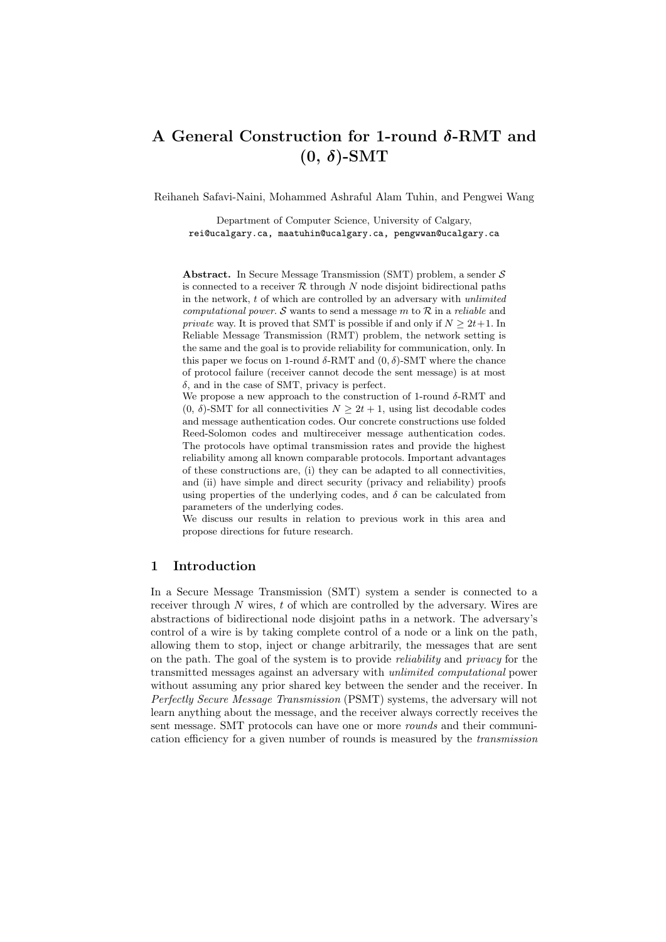# A General Construction for 1-round δ-RMT and  $(0, \delta)$ -SMT

Reihaneh Safavi-Naini, Mohammed Ashraful Alam Tuhin, and Pengwei Wang

Department of Computer Science, University of Calgary, rei@ucalgary.ca, maatuhin@ucalgary.ca, pengwwan@ucalgary.ca

Abstract. In Secure Message Transmission (SMT) problem, a sender  $S$ is connected to a receiver  $R$  through  $N$  node disjoint bidirectional paths in the network,  $t$  of which are controlled by an adversary with *unlimited* computational power.  $\mathcal S$  wants to send a message m to  $\mathcal R$  in a reliable and private way. It is proved that SMT is possible if and only if  $N \geq 2t+1$ . In Reliable Message Transmission (RMT) problem, the network setting is the same and the goal is to provide reliability for communication, only. In this paper we focus on 1-round  $\delta$ -RMT and  $(0, \delta)$ -SMT where the chance of protocol failure (receiver cannot decode the sent message) is at most  $\delta$ , and in the case of SMT, privacy is perfect.

We propose a new approach to the construction of 1-round  $\delta$ -RMT and  $(0, \delta)$ -SMT for all connectivities  $N \geq 2t + 1$ , using list decodable codes and message authentication codes. Our concrete constructions use folded Reed-Solomon codes and multireceiver message authentication codes. The protocols have optimal transmission rates and provide the highest reliability among all known comparable protocols. Important advantages of these constructions are, (i) they can be adapted to all connectivities, and (ii) have simple and direct security (privacy and reliability) proofs using properties of the underlying codes, and  $\delta$  can be calculated from parameters of the underlying codes.

We discuss our results in relation to previous work in this area and propose directions for future research.

## 1 Introduction

In a Secure Message Transmission (SMT) system a sender is connected to a receiver through  $N$  wires,  $t$  of which are controlled by the adversary. Wires are abstractions of bidirectional node disjoint paths in a network. The adversary's control of a wire is by taking complete control of a node or a link on the path, allowing them to stop, inject or change arbitrarily, the messages that are sent on the path. The goal of the system is to provide reliability and privacy for the transmitted messages against an adversary with unlimited computational power without assuming any prior shared key between the sender and the receiver. In Perfectly Secure Message Transmission (PSMT) systems, the adversary will not learn anything about the message, and the receiver always correctly receives the sent message. SMT protocols can have one or more *rounds* and their communication efficiency for a given number of rounds is measured by the transmission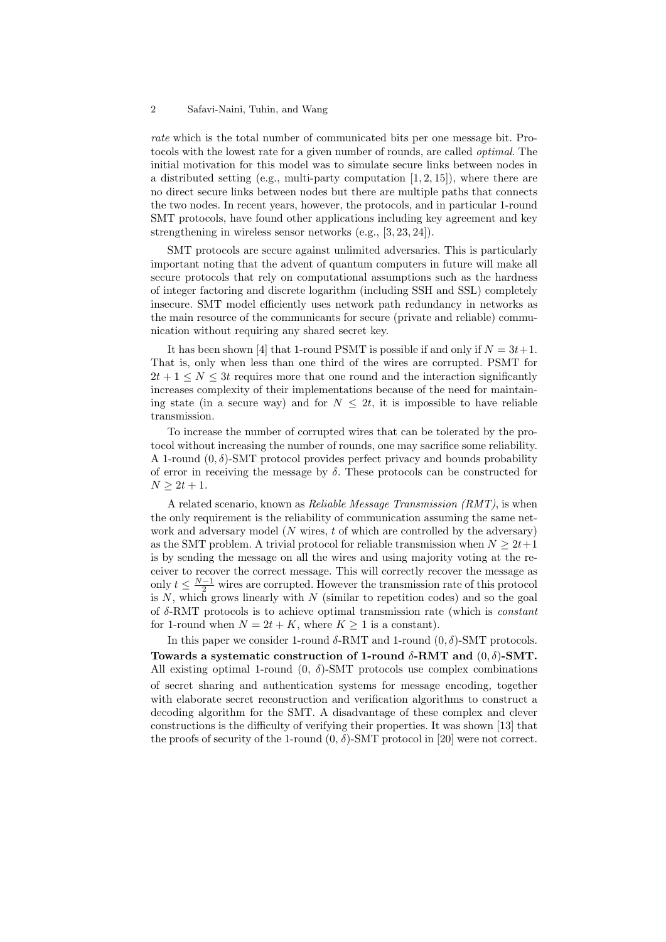rate which is the total number of communicated bits per one message bit. Protocols with the lowest rate for a given number of rounds, are called optimal. The initial motivation for this model was to simulate secure links between nodes in a distributed setting (e.g., multi-party computation  $[1, 2, 15]$ ), where there are no direct secure links between nodes but there are multiple paths that connects the two nodes. In recent years, however, the protocols, and in particular 1-round SMT protocols, have found other applications including key agreement and key strengthening in wireless sensor networks (e.g., [3, 23, 24]).

SMT protocols are secure against unlimited adversaries. This is particularly important noting that the advent of quantum computers in future will make all secure protocols that rely on computational assumptions such as the hardness of integer factoring and discrete logarithm (including SSH and SSL) completely insecure. SMT model efficiently uses network path redundancy in networks as the main resource of the communicants for secure (private and reliable) communication without requiring any shared secret key.

It has been shown [4] that 1-round PSMT is possible if and only if  $N = 3t+1$ . That is, only when less than one third of the wires are corrupted. PSMT for  $2t + 1 \leq N \leq 3t$  requires more that one round and the interaction significantly increases complexity of their implementations because of the need for maintaining state (in a secure way) and for  $N \leq 2t$ , it is impossible to have reliable transmission.

To increase the number of corrupted wires that can be tolerated by the protocol without increasing the number of rounds, one may sacrifice some reliability. A 1-round  $(0, \delta)$ -SMT protocol provides perfect privacy and bounds probability of error in receiving the message by  $\delta$ . These protocols can be constructed for  $N > 2t + 1$ .

A related scenario, known as Reliable Message Transmission (RMT), is when the only requirement is the reliability of communication assuming the same network and adversary model  $(N \text{ wires}, t \text{ of which are controlled by the adversary})$ as the SMT problem. A trivial protocol for reliable transmission when  $N \geq 2t+1$ is by sending the message on all the wires and using majority voting at the receiver to recover the correct message. This will correctly recover the message as only  $t \leq \frac{N-1}{2}$  wires are corrupted. However the transmission rate of this protocol is  $N$ , which grows linearly with  $N$  (similar to repetition codes) and so the goal of  $\delta$ -RMT protocols is to achieve optimal transmission rate (which is *constant* for 1-round when  $N = 2t + K$ , where  $K \ge 1$  is a constant).

In this paper we consider 1-round  $\delta$ -RMT and 1-round  $(0, \delta)$ -SMT protocols. Towards a systematic construction of 1-round  $\delta$ -RMT and  $(0, \delta)$ -SMT. All existing optimal 1-round  $(0, \delta)$ -SMT protocols use complex combinations of secret sharing and authentication systems for message encoding, together with elaborate secret reconstruction and verification algorithms to construct a decoding algorithm for the SMT. A disadvantage of these complex and clever constructions is the difficulty of verifying their properties. It was shown [13] that the proofs of security of the 1-round  $(0, \delta)$ -SMT protocol in [20] were not correct.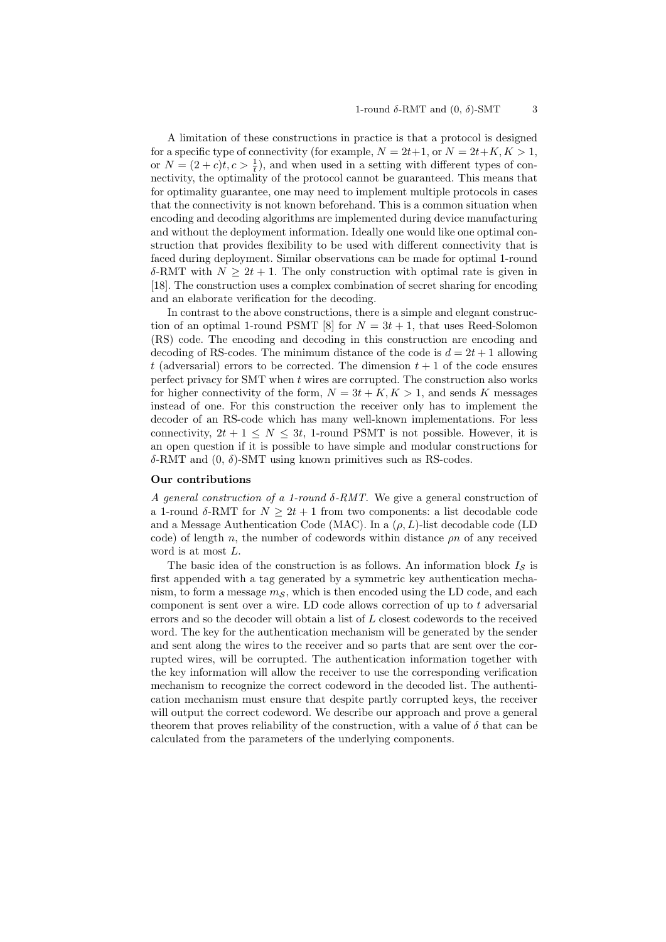A limitation of these constructions in practice is that a protocol is designed for a specific type of connectivity (for example,  $N = 2t+1$ , or  $N = 2t+K, K > 1$ , or  $N = (2+c)t, c > \frac{1}{t}$ , and when used in a setting with different types of connectivity, the optimality of the protocol cannot be guaranteed. This means that for optimality guarantee, one may need to implement multiple protocols in cases that the connectivity is not known beforehand. This is a common situation when encoding and decoding algorithms are implemented during device manufacturing and without the deployment information. Ideally one would like one optimal construction that provides flexibility to be used with different connectivity that is faced during deployment. Similar observations can be made for optimal 1-round δ-RMT with  $N \geq 2t + 1$ . The only construction with optimal rate is given in [18]. The construction uses a complex combination of secret sharing for encoding and an elaborate verification for the decoding.

In contrast to the above constructions, there is a simple and elegant construction of an optimal 1-round PSMT [8] for  $N = 3t + 1$ , that uses Reed-Solomon (RS) code. The encoding and decoding in this construction are encoding and decoding of RS-codes. The minimum distance of the code is  $d = 2t + 1$  allowing t (adversarial) errors to be corrected. The dimension  $t + 1$  of the code ensures perfect privacy for SMT when t wires are corrupted. The construction also works for higher connectivity of the form,  $N = 3t + K, K > 1$ , and sends K messages instead of one. For this construction the receiver only has to implement the decoder of an RS-code which has many well-known implementations. For less connectivity,  $2t + 1 \leq N \leq 3t$ , 1-round PSMT is not possible. However, it is an open question if it is possible to have simple and modular constructions for  $\delta$ -RMT and  $(0, \delta)$ -SMT using known primitives such as RS-codes.

#### Our contributions

A general construction of a 1-round  $\delta$ -RMT. We give a general construction of a 1-round  $\delta$ -RMT for  $N \geq 2t + 1$  from two components: a list decodable code and a Message Authentication Code (MAC). In a  $(\rho, L)$ -list decodable code (LD) code) of length n, the number of codewords within distance  $\rho n$  of any received word is at most L.

The basic idea of the construction is as follows. An information block  $I_S$  is first appended with a tag generated by a symmetric key authentication mechanism, to form a message  $m<sub>S</sub>$ , which is then encoded using the LD code, and each component is sent over a wire. LD code allows correction of up to  $t$  adversarial errors and so the decoder will obtain a list of L closest codewords to the received word. The key for the authentication mechanism will be generated by the sender and sent along the wires to the receiver and so parts that are sent over the corrupted wires, will be corrupted. The authentication information together with the key information will allow the receiver to use the corresponding verification mechanism to recognize the correct codeword in the decoded list. The authentication mechanism must ensure that despite partly corrupted keys, the receiver will output the correct codeword. We describe our approach and prove a general theorem that proves reliability of the construction, with a value of  $\delta$  that can be calculated from the parameters of the underlying components.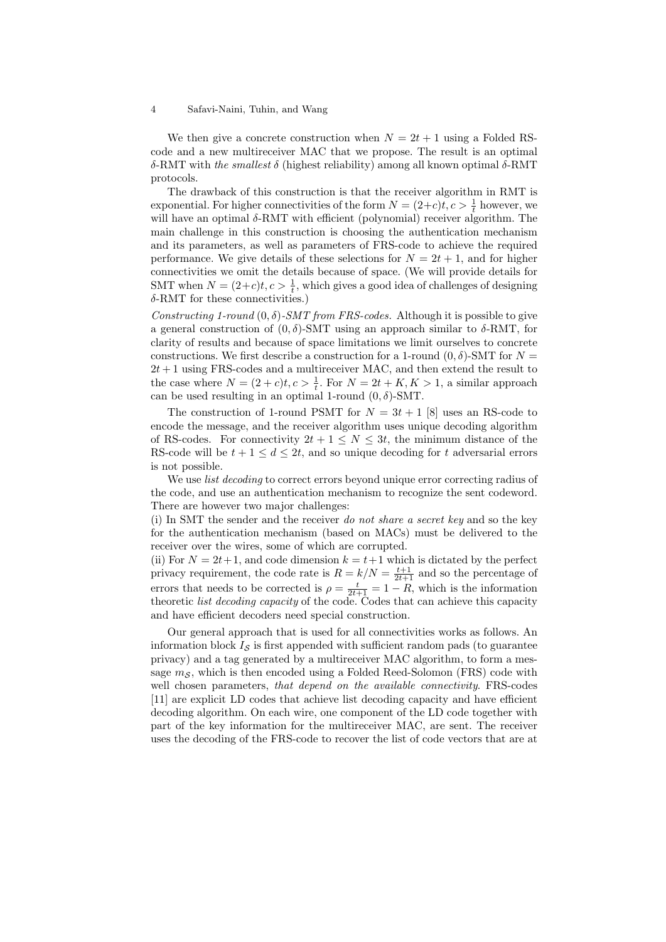We then give a concrete construction when  $N = 2t + 1$  using a Folded RScode and a new multireceiver MAC that we propose. The result is an optimal δ-RMT with the smallest δ (highest reliability) among all known optimal δ-RMT protocols.

The drawback of this construction is that the receiver algorithm in RMT is exponential. For higher connectivities of the form  $N = (2+c)t, c > \frac{1}{t}$  however, we will have an optimal  $\delta$ -RMT with efficient (polynomial) receiver algorithm. The main challenge in this construction is choosing the authentication mechanism and its parameters, as well as parameters of FRS-code to achieve the required performance. We give details of these selections for  $N = 2t + 1$ , and for higher connectivities we omit the details because of space. (We will provide details for SMT when  $N = (2+c)t, c > \frac{1}{t}$ , which gives a good idea of challenges of designing δ-RMT for these connectivities.)

Constructing 1-round  $(0, \delta)$ -SMT from FRS-codes. Although it is possible to give a general construction of  $(0, \delta)$ -SMT using an approach similar to  $\delta$ -RMT, for clarity of results and because of space limitations we limit ourselves to concrete constructions. We first describe a construction for a 1-round  $(0, \delta)$ -SMT for  $N =$  $2t + 1$  using FRS-codes and a multireceiver MAC, and then extend the result to the case where  $N = (2 + c)t, c > \frac{1}{t}$ . For  $N = 2t + K, K > 1$ , a similar approach can be used resulting in an optimal 1-round  $(0, \delta)$ -SMT.

The construction of 1-round PSMT for  $N = 3t + 1$  [8] uses an RS-code to encode the message, and the receiver algorithm uses unique decoding algorithm of RS-codes. For connectivity  $2t + 1 \leq N \leq 3t$ , the minimum distance of the RS-code will be  $t + 1 \leq d \leq 2t$ , and so unique decoding for t adversarial errors is not possible.

We use *list decoding* to correct errors beyond unique error correcting radius of the code, and use an authentication mechanism to recognize the sent codeword. There are however two major challenges:

(i) In SMT the sender and the receiver do not share a secret key and so the key for the authentication mechanism (based on MACs) must be delivered to the receiver over the wires, some of which are corrupted.

(ii) For  $N = 2t+1$ , and code dimension  $k = t+1$  which is dictated by the perfect privacy requirement, the code rate is  $R = k/N = \frac{t+1}{2t+1}$  and so the percentage of errors that needs to be corrected is  $\rho = \frac{t}{2t+1} = 1 - R$ , which is the information theoretic list decoding capacity of the code. Codes that can achieve this capacity and have efficient decoders need special construction.

Our general approach that is used for all connectivities works as follows. An information block  $I_{\mathcal{S}}$  is first appended with sufficient random pads (to guarantee privacy) and a tag generated by a multireceiver MAC algorithm, to form a message  $m<sub>S</sub>$ , which is then encoded using a Folded Reed-Solomon (FRS) code with well chosen parameters, that depend on the available connectivity. FRS-codes [11] are explicit LD codes that achieve list decoding capacity and have efficient decoding algorithm. On each wire, one component of the LD code together with part of the key information for the multireceiver MAC, are sent. The receiver uses the decoding of the FRS-code to recover the list of code vectors that are at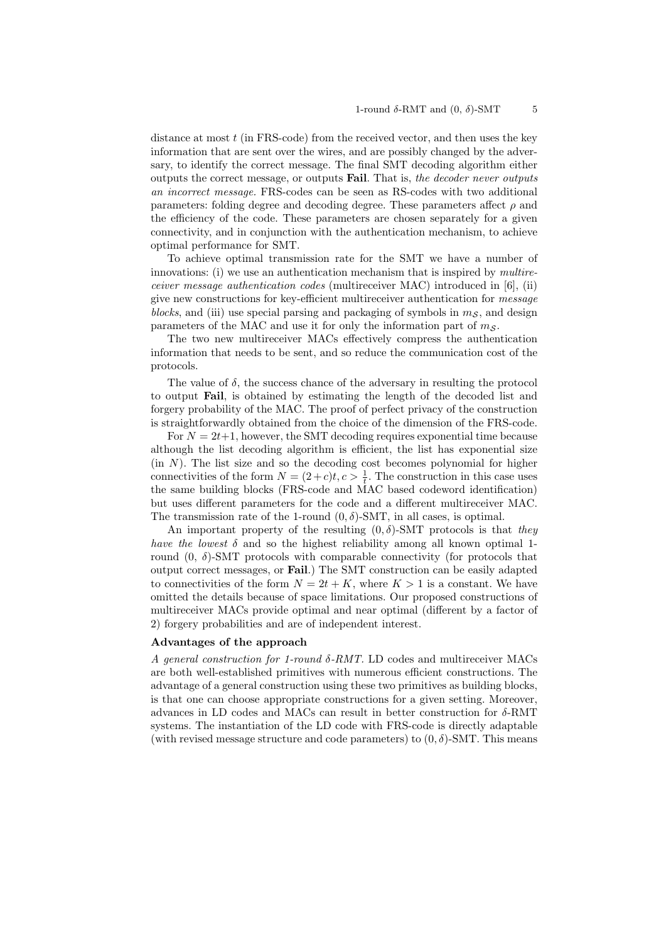distance at most  $t$  (in FRS-code) from the received vector, and then uses the key information that are sent over the wires, and are possibly changed by the adversary, to identify the correct message. The final SMT decoding algorithm either outputs the correct message, or outputs Fail. That is, the decoder never outputs an incorrect message. FRS-codes can be seen as RS-codes with two additional parameters: folding degree and decoding degree. These parameters affect  $\rho$  and the efficiency of the code. These parameters are chosen separately for a given connectivity, and in conjunction with the authentication mechanism, to achieve optimal performance for SMT.

To achieve optimal transmission rate for the SMT we have a number of innovations: (i) we use an authentication mechanism that is inspired by multireceiver message authentication codes (multireceiver MAC) introduced in [6], (ii) give new constructions for key-efficient multireceiver authentication for message blocks, and (iii) use special parsing and packaging of symbols in  $m<sub>S</sub>$ , and design parameters of the MAC and use it for only the information part of  $m<sub>S</sub>$ .

The two new multireceiver MACs effectively compress the authentication information that needs to be sent, and so reduce the communication cost of the protocols.

The value of  $\delta$ , the success chance of the adversary in resulting the protocol to output Fail, is obtained by estimating the length of the decoded list and forgery probability of the MAC. The proof of perfect privacy of the construction is straightforwardly obtained from the choice of the dimension of the FRS-code.

For  $N = 2t+1$ , however, the SMT decoding requires exponential time because although the list decoding algorithm is efficient, the list has exponential size  $(in N)$ . The list size and so the decoding cost becomes polynomial for higher connectivities of the form  $N = (2+c)t, c > \frac{1}{t}$ . The construction in this case uses the same building blocks (FRS-code and MAC based codeword identification) but uses different parameters for the code and a different multireceiver MAC. The transmission rate of the 1-round  $(0, \delta)$ -SMT, in all cases, is optimal.

An important property of the resulting  $(0, \delta)$ -SMT protocols is that they have the lowest  $\delta$  and so the highest reliability among all known optimal 1round  $(0, \delta)$ -SMT protocols with comparable connectivity (for protocols that output correct messages, or Fail.) The SMT construction can be easily adapted to connectivities of the form  $N = 2t + K$ , where  $K > 1$  is a constant. We have omitted the details because of space limitations. Our proposed constructions of multireceiver MACs provide optimal and near optimal (different by a factor of 2) forgery probabilities and are of independent interest.

#### Advantages of the approach

A general construction for 1-round  $\delta$ -RMT. LD codes and multireceiver MACs are both well-established primitives with numerous efficient constructions. The advantage of a general construction using these two primitives as building blocks, is that one can choose appropriate constructions for a given setting. Moreover, advances in LD codes and MACs can result in better construction for  $\delta$ -RMT systems. The instantiation of the LD code with FRS-code is directly adaptable (with revised message structure and code parameters) to  $(0, \delta)$ -SMT. This means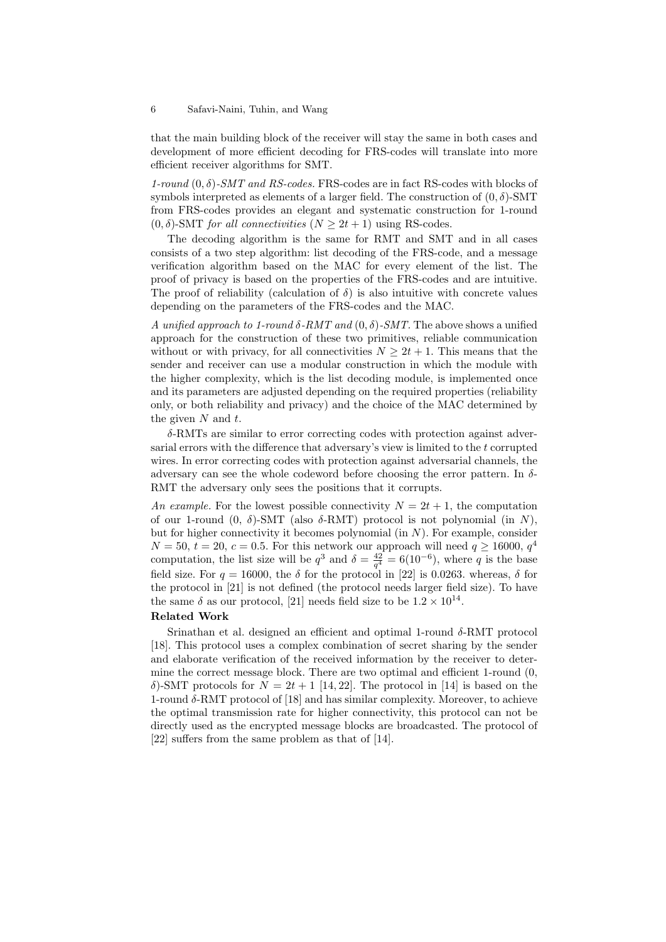that the main building block of the receiver will stay the same in both cases and development of more efficient decoding for FRS-codes will translate into more efficient receiver algorithms for SMT.

1-round  $(0, \delta)$ -SMT and RS-codes. FRS-codes are in fact RS-codes with blocks of symbols interpreted as elements of a larger field. The construction of  $(0, \delta)$ -SMT from FRS-codes provides an elegant and systematic construction for 1-round  $(0, \delta)$ -SMT for all connectivities  $(N \geq 2t + 1)$  using RS-codes.

The decoding algorithm is the same for RMT and SMT and in all cases consists of a two step algorithm: list decoding of the FRS-code, and a message verification algorithm based on the MAC for every element of the list. The proof of privacy is based on the properties of the FRS-codes and are intuitive. The proof of reliability (calculation of  $\delta$ ) is also intuitive with concrete values depending on the parameters of the FRS-codes and the MAC.

A unified approach to 1-round  $\delta$ -RMT and  $(0, \delta)$ -SMT. The above shows a unified approach for the construction of these two primitives, reliable communication without or with privacy, for all connectivities  $N \geq 2t + 1$ . This means that the sender and receiver can use a modular construction in which the module with the higher complexity, which is the list decoding module, is implemented once and its parameters are adjusted depending on the required properties (reliability only, or both reliability and privacy) and the choice of the MAC determined by the given  $N$  and  $t$ .

δ-RMTs are similar to error correcting codes with protection against adversarial errors with the difference that adversary's view is limited to the t corrupted wires. In error correcting codes with protection against adversarial channels, the adversary can see the whole codeword before choosing the error pattern. In  $\delta$ -RMT the adversary only sees the positions that it corrupts.

An example. For the lowest possible connectivity  $N = 2t + 1$ , the computation of our 1-round  $(0, \delta)$ -SMT (also  $\delta$ -RMT) protocol is not polynomial (in N), but for higher connectivity it becomes polynomial (in  $N$ ). For example, consider  $N = 50, t = 20, c = 0.5$ . For this network our approach will need  $q \ge 16000, q^4$ computation, the list size will be  $q^3$  and  $\delta = \frac{42}{q^4} = 6(10^{-6})$ , where q is the base field size. For  $q = 16000$ , the  $\delta$  for the protocol in [22] is 0.0263, whereas,  $\delta$  for the protocol in [21] is not defined (the protocol needs larger field size). To have the same  $\delta$  as our protocol, [21] needs field size to be  $1.2 \times 10^{14}$ .

#### Related Work

Srinathan et al. designed an efficient and optimal 1-round δ-RMT protocol [18]. This protocol uses a complex combination of secret sharing by the sender and elaborate verification of the received information by the receiver to determine the correct message block. There are two optimal and efficient 1-round (0, δ)-SMT protocols for  $N = 2t + 1$  [14, 22]. The protocol in [14] is based on the 1-round  $\delta$ -RMT protocol of [18] and has similar complexity. Moreover, to achieve the optimal transmission rate for higher connectivity, this protocol can not be directly used as the encrypted message blocks are broadcasted. The protocol of [22] suffers from the same problem as that of [14].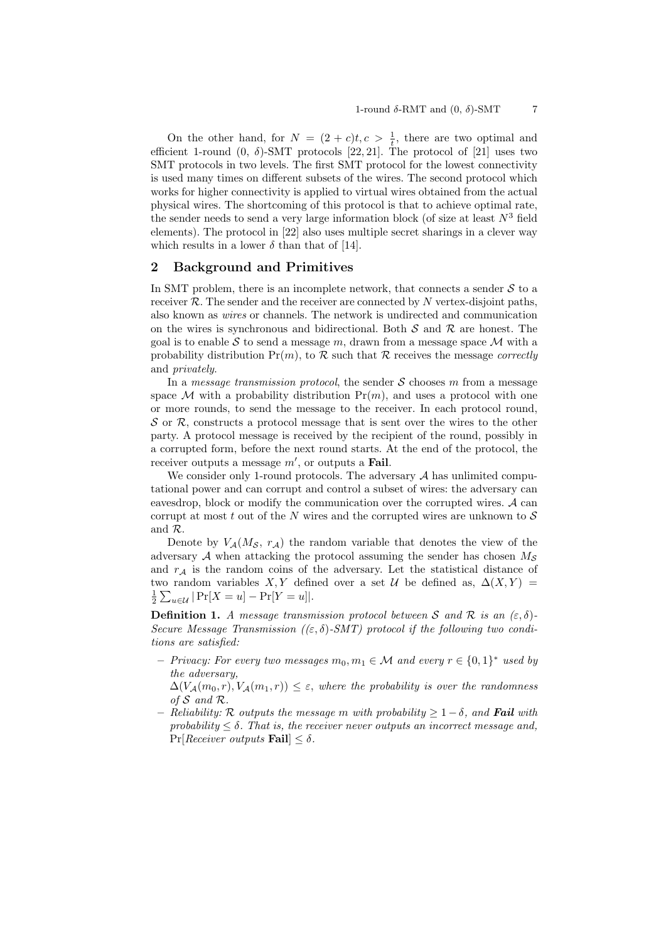On the other hand, for  $N = (2 + c)t, c > \frac{1}{t}$ , there are two optimal and efficient 1-round  $(0, \delta)$ -SMT protocols [22, 21]. The protocol of [21] uses two SMT protocols in two levels. The first SMT protocol for the lowest connectivity is used many times on different subsets of the wires. The second protocol which works for higher connectivity is applied to virtual wires obtained from the actual physical wires. The shortcoming of this protocol is that to achieve optimal rate, the sender needs to send a very large information block (of size at least  $N^3$  field elements). The protocol in [22] also uses multiple secret sharings in a clever way which results in a lower  $\delta$  than that of [14].

## 2 Background and Primitives

In SMT problem, there is an incomplete network, that connects a sender  $S$  to a receiver  $\mathcal R$ . The sender and the receiver are connected by N vertex-disjoint paths, also known as wires or channels. The network is undirected and communication on the wires is synchronous and bidirectional. Both  $S$  and  $R$  are honest. The goal is to enable S to send a message  $m$ , drawn from a message space M with a probability distribution  $Pr(m)$ , to R such that R receives the message *correctly* and privately.

In a message transmission protocol, the sender  $S$  chooses m from a message space M with a probability distribution  $Pr(m)$ , and uses a protocol with one or more rounds, to send the message to the receiver. In each protocol round,  $S$  or  $R$ , constructs a protocol message that is sent over the wires to the other party. A protocol message is received by the recipient of the round, possibly in a corrupted form, before the next round starts. At the end of the protocol, the receiver outputs a message  $m'$ , or outputs a Fail.

We consider only 1-round protocols. The adversary  $A$  has unlimited computational power and can corrupt and control a subset of wires: the adversary can eavesdrop, block or modify the communication over the corrupted wires. A can corrupt at most  $t$  out of the  $N$  wires and the corrupted wires are unknown to  $\mathcal S$ and R.

Denote by  $V_A(M_S, r_A)$  the random variable that denotes the view of the adversary  $A$  when attacking the protocol assuming the sender has chosen  $M<sub>S</sub>$ and  $r_A$  is the random coins of the adversary. Let the statistical distance of two random variables X, Y defined over a set U be defined as,  $\Delta(X, Y) =$  $\frac{1}{2} \sum_{u \in \mathcal{U}} |Pr[X = u] - Pr[Y = u]|.$ 

**Definition 1.** A message transmission protocol between S and R is an  $(\varepsilon, \delta)$ -Secure Message Transmission ( $(\varepsilon, \delta)$ -SMT) protocol if the following two conditions are satisfied:

− Privacy: For every two messages  $m_0, m_1 \in \mathcal{M}$  and every  $r \in \{0,1\}^*$  used by the adversary,

 $\Delta(V_{\mathcal{A}}(m_0,r), V_{\mathcal{A}}(m_1,r)) \leq \varepsilon$ , where the probability is over the randomness of  $S$  and  $R$ .

 $−$  Reliability: R outputs the message m with probability  $≥ 1 − δ$ , and **Fail** with probability  $\leq \delta$ . That is, the receiver never outputs an incorrect message and,  $Pr[Receiver outputs \textbf{Fall}] \leq \delta.$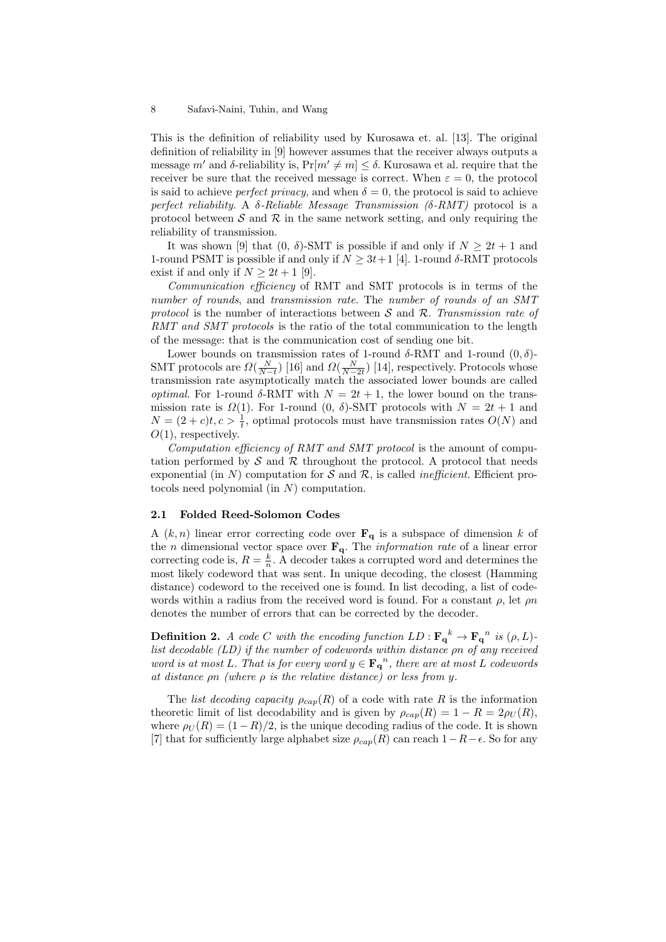This is the definition of reliability used by Kurosawa et. al. [13]. The original definition of reliability in [9] however assumes that the receiver always outputs a message m' and δ-reliability is,  $Pr[m' \neq m] \leq \delta$ . Kurosawa et al. require that the receiver be sure that the received message is correct. When  $\varepsilon = 0$ , the protocol is said to achieve *perfect privacy*, and when  $\delta = 0$ , the protocol is said to achieve perfect reliability. A  $\delta$ -Reliable Message Transmission ( $\delta$ -RMT) protocol is a protocol between S and R in the same network setting, and only requiring the reliability of transmission.

It was shown [9] that  $(0, \delta)$ -SMT is possible if and only if  $N \geq 2t + 1$  and 1-round PSMT is possible if and only if  $N \geq 3t+1$  [4]. 1-round  $\delta$ -RMT protocols exist if and only if  $N \geq 2t + 1$  [9].

Communication efficiency of RMT and SMT protocols is in terms of the number of rounds, and transmission rate. The number of rounds of an SMT protocol is the number of interactions between  $\mathcal S$  and  $\mathcal R$ . Transmission rate of RMT and SMT protocols is the ratio of the total communication to the length of the message: that is the communication cost of sending one bit.

Lower bounds on transmission rates of 1-round  $\delta$ -RMT and 1-round  $(0, \delta)$ -SMT protocols are  $\Omega(\frac{N}{N-t})$  [16] and  $\Omega(\frac{N}{N-2t})$  [14], respectively. Protocols whose transmission rate asymptotically match the associated lower bounds are called *optimal.* For 1-round  $\delta$ -RMT with  $N = 2t + 1$ , the lower bound on the transmission rate is  $\Omega(1)$ . For 1-round  $(0, \delta)$ -SMT protocols with  $N = 2t + 1$  and  $N = (2 + c)t, c > \frac{1}{t}$ , optimal protocols must have transmission rates  $O(N)$  and  $O(1)$ , respectively.

Computation efficiency of RMT and SMT protocol is the amount of computation performed by S and R throughout the protocol. A protocol that needs exponential (in N) computation for S and R, is called *inefficient*. Efficient protocols need polynomial (in  $N$ ) computation.

#### 2.1 Folded Reed-Solomon Codes

A  $(k, n)$  linear error correcting code over  $\mathbf{F}_{q}$  is a subspace of dimension k of the *n* dimensional vector space over  $\mathbf{F}_{q}$ . The *information rate* of a linear error correcting code is,  $R = \frac{k}{n}$ . A decoder takes a corrupted word and determines the most likely codeword that was sent. In unique decoding, the closest (Hamming distance) codeword to the received one is found. In list decoding, a list of codewords within a radius from the received word is found. For a constant  $\rho$ , let  $\rho n$ denotes the number of errors that can be corrected by the decoder.

**Definition 2.** A code C with the encoding function  $LD: \mathbf{F_q}^k \to \mathbf{F_q}^n$  is  $(\rho, L)$ list decodable (LD) if the number of codewords within distance ρn of any received word is at most L. That is for every word  $y \in \mathbf{F_q}^n$ , there are at most L codewords at distance  $\rho n$  (where  $\rho$  is the relative distance) or less from y.

The list decoding capacity  $\rho_{cap}(R)$  of a code with rate R is the information theoretic limit of list decodability and is given by  $\rho_{cap}(R) = 1 - R = 2\rho_U(R)$ , where  $\rho_U(R) = (1 - R)/2$ , is the unique decoding radius of the code. It is shown [7] that for sufficiently large alphabet size  $\rho_{cap}(R)$  can reach  $1-R-\epsilon$ . So for any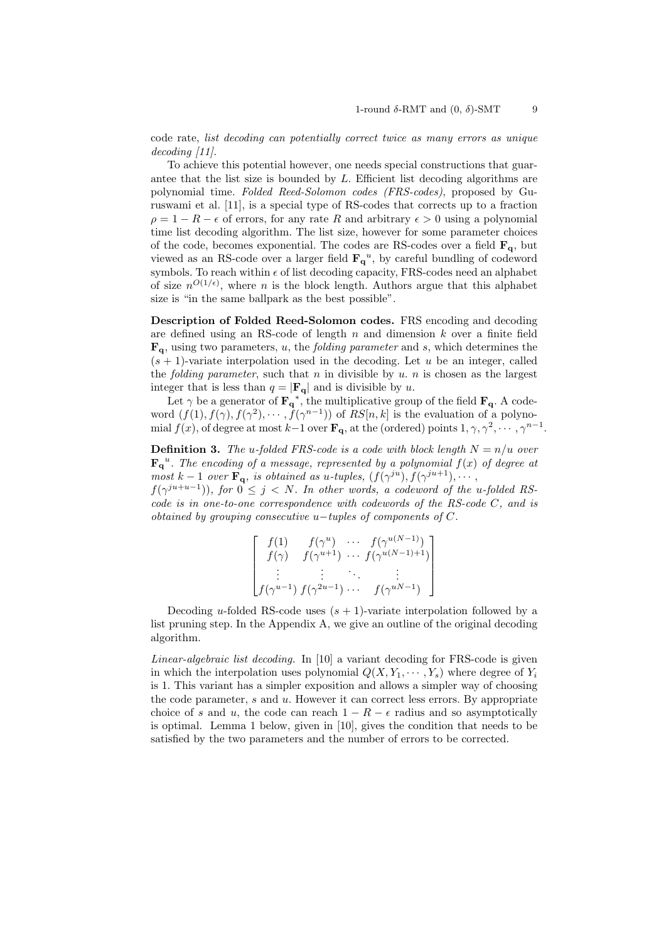code rate, list decoding can potentially correct twice as many errors as unique decoding [11].

To achieve this potential however, one needs special constructions that guarantee that the list size is bounded by  $L$ . Efficient list decoding algorithms are polynomial time. Folded Reed-Solomon codes (FRS-codes), proposed by Guruswami et al. [11], is a special type of RS-codes that corrects up to a fraction  $\rho = 1 - R - \epsilon$  of errors, for any rate R and arbitrary  $\epsilon > 0$  using a polynomial time list decoding algorithm. The list size, however for some parameter choices of the code, becomes exponential. The codes are RS-codes over a field  $\mathbf{F}_{q}$ , but viewed as an RS-code over a larger field  $\mathbf{F}_{q}^{u}$ , by careful bundling of codeword symbols. To reach within  $\epsilon$  of list decoding capacity, FRS-codes need an alphabet of size  $n^{O(1/\epsilon)}$ , where *n* is the block length. Authors argue that this alphabet size is "in the same ballpark as the best possible".

Description of Folded Reed-Solomon codes. FRS encoding and decoding are defined using an RS-code of length  $n$  and dimension  $k$  over a finite field  $\mathbf{F}_{q}$ , using two parameters, u, the *folding parameter* and s, which determines the  $(s + 1)$ -variate interpolation used in the decoding. Let u be an integer, called the *folding parameter*, such that n in divisible by  $u$ . n is chosen as the largest integer that is less than  $q = |\mathbf{F}_{q}|$  and is divisible by u.

Let  $\gamma$  be a generator of  $\mathbf{F}_{q}^*$ , the multiplicative group of the field  $\mathbf{F}_{q}$ . A codeword  $(f(1), f(\gamma), f(\gamma^2), \cdots, f(\gamma^{n-1}))$  of  $RS[n, k]$  is the evaluation of a polynomial  $f(x)$ , of degree at most  $k-1$  over  $\mathbf{F}_{q}$ , at the (ordered) points  $1, \gamma, \gamma^{2}, \cdots, \gamma^{n-1}$ .

**Definition 3.** The u-folded FRS-code is a code with block length  $N = n/u$  over  $\mathbf{F}_{q}^{u}$ . The encoding of a message, represented by a polynomial  $f(x)$  of degree at most  $k-1$  over  $\mathbf{F}_{q}$ , is obtained as u-tuples,  $(f(\gamma^{ju}), f(\gamma^{ju+1}), \cdots,$  $f(\gamma^{ju+u-1})$ , for  $0 \leq j \leq N$ . In other words, a codeword of the u-folded RS-

code is in one-to-one correspondence with codewords of the RS-code C, and is obtained by grouping consecutive u−tuples of components of C.

$$
\begin{bmatrix}\nf(1) & f(\gamma^u) & \cdots & f(\gamma^{u(N-1)}) \\
f(\gamma) & f(\gamma^{u+1}) & \cdots & f(\gamma^{u(N-1)+1}) \\
\vdots & \vdots & \ddots & \vdots \\
f(\gamma^{u-1}) & f(\gamma^{2u-1}) & \cdots & f(\gamma^{uN-1})\n\end{bmatrix}
$$

Decoding u-folded RS-code uses  $(s + 1)$ -variate interpolation followed by a list pruning step. In the Appendix A, we give an outline of the original decoding algorithm.

Linear-algebraic list decoding. In [10] a variant decoding for FRS-code is given in which the interpolation uses polynomial  $Q(X, Y_1, \dots, Y_s)$  where degree of  $Y_i$ is 1. This variant has a simpler exposition and allows a simpler way of choosing the code parameter,  $s$  and  $u$ . However it can correct less errors. By appropriate choice of s and u, the code can reach  $1 - R - \epsilon$  radius and so asymptotically is optimal. Lemma 1 below, given in [10], gives the condition that needs to be satisfied by the two parameters and the number of errors to be corrected.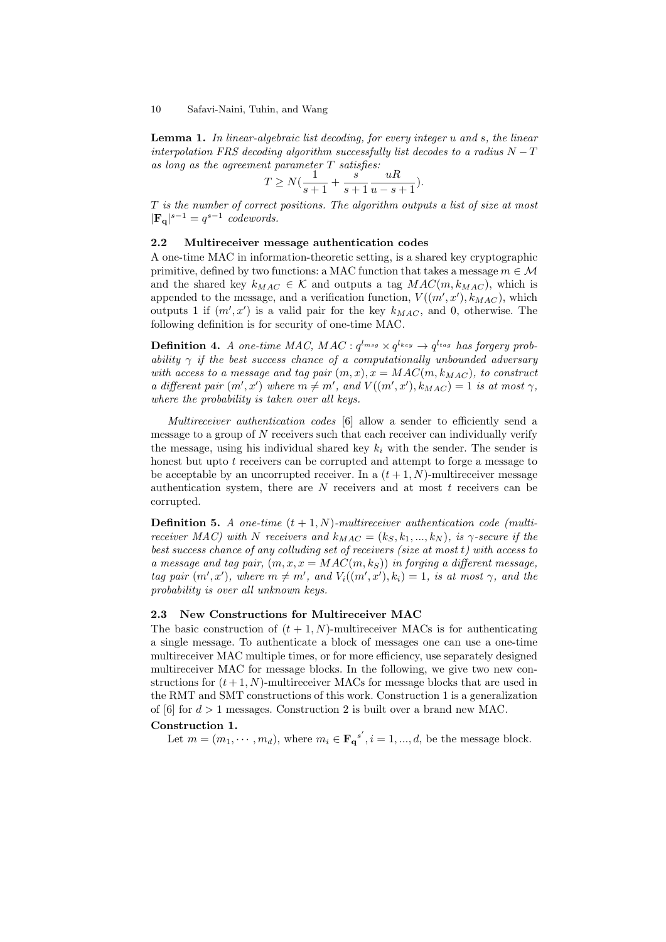Lemma 1. In linear-algebraic list decoding, for every integer u and s, the linear interpolation FRS decoding algorithm successfully list decodes to a radius  $N-T$ as long as the agreement parameter  $T$  satisfies:

$$
T \ge N\left(\frac{1}{s+1} + \frac{s^{'}}{s+1} \frac{uR}{u-s+1}\right).
$$

T is the number of correct positions. The algorithm outputs a list of size at most  $|\mathbf{F}_{\mathbf{q}}|^{s-1} = q^{s-1}$  codewords.

#### 2.2 Multireceiver message authentication codes

A one-time MAC in information-theoretic setting, is a shared key cryptographic primitive, defined by two functions: a MAC function that takes a message  $m \in \mathcal{M}$ and the shared key  $k_{MAC} \in \mathcal{K}$  and outputs a tag  $MAC(m, k_{MAC})$ , which is appended to the message, and a verification function,  $V((m', x'), k_{MAC})$ , which outputs 1 if  $(m', x')$  is a valid pair for the key  $k_{MAC}$ , and 0, otherwise. The following definition is for security of one-time MAC.

**Definition 4.** A one-time MAC, MAC :  $q^{l_{msg}} \times q^{l_{key}} \rightarrow q^{l_{tag}}$  has forgery probability  $\gamma$  if the best success chance of a computationally unbounded adversary with access to a message and tag pair  $(m, x), x = MAC(m, k_{MAC}),$  to construct a different pair  $(m', x')$  where  $m \neq m'$ , and  $V((m', x'), k_{MAC}) = 1$  is at most  $\gamma$ , where the probability is taken over all keys.

Multireceiver authentication codes [6] allow a sender to efficiently send a message to a group of  $N$  receivers such that each receiver can individually verify the message, using his individual shared key  $k_i$  with the sender. The sender is honest but upto t receivers can be corrupted and attempt to forge a message to be acceptable by an uncorrupted receiver. In a  $(t + 1, N)$ -multireceiver message authentication system, there are  $N$  receivers and at most  $t$  receivers can be corrupted.

**Definition 5.** A one-time  $(t + 1, N)$ -multireceiver authentication code (multireceiver MAC) with N receivers and  $k_{MAC} = (k_S, k_1, ..., k_N)$ , is  $\gamma$ -secure if the best success chance of any colluding set of receivers (size at most t) with access to a message and tag pair,  $(m, x, x = MAC(m, k_S))$  in forging a different message, tag pair  $(m', x')$ , where  $m \neq m'$ , and  $V_i((m', x'), k_i) = 1$ , is at most  $\gamma$ , and the probability is over all unknown keys.

#### 2.3 New Constructions for Multireceiver MAC

The basic construction of  $(t + 1, N)$ -multireceiver MACs is for authenticating a single message. To authenticate a block of messages one can use a one-time multireceiver MAC multiple times, or for more efficiency, use separately designed multireceiver MAC for message blocks. In the following, we give two new constructions for  $(t + 1, N)$ -multireceiver MACs for message blocks that are used in the RMT and SMT constructions of this work. Construction 1 is a generalization of [6] for  $d > 1$  messages. Construction 2 is built over a brand new MAC.

#### Construction 1.

Let  $m = (m_1, \dots, m_d)$ , where  $m_i \in \mathbf{F_q}^{s'}$ ,  $i = 1, ..., d$ , be the message block.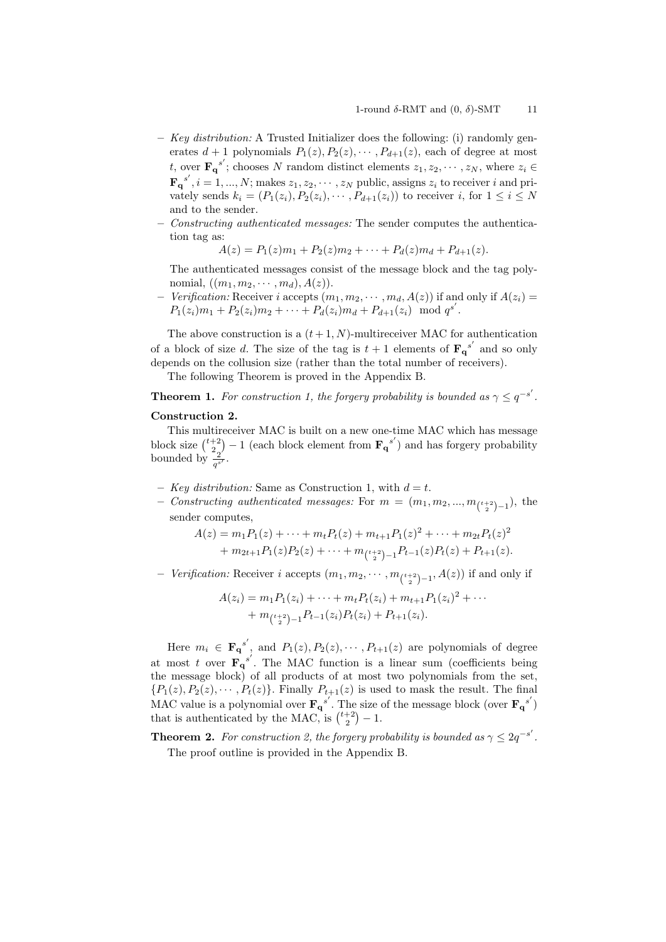- Key distribution: A Trusted Initializer does the following: (i) randomly generates  $d+1$  polynomials  $P_1(z), P_2(z), \cdots, P_{d+1}(z)$ , each of degree at most t, over  $\mathbf{F_q}^{s'}$ ; chooses N random distinct elements  $z_1, z_2, \cdots, z_N$ , where  $z_i \in$  $\mathbf{F_q}^{s'}, i = 1, ..., N;$  makes  $z_1, z_2, ..., z_N$  public, assigns  $z_i$  to receiver i and privately sends  $k_i = (P_1(z_i), P_2(z_i), \cdots, P_{d+1}(z_i))$  to receiver i, for  $1 \le i \le N$ and to the sender.
- Constructing authenticated messages: The sender computes the authentication tag as:

$$
A(z) = P_1(z)m_1 + P_2(z)m_2 + \cdots + P_d(z)m_d + P_{d+1}(z).
$$

The authenticated messages consist of the message block and the tag polynomial,  $((m_1, m_2, \cdots, m_d), A(z)).$ 

- Verification: Receiver i accepts  $(m_1, m_2, \cdots, m_d, A(z))$  if and only if  $A(z_i)$  =  $P_1(z_i)m_1 + P_2(z_i)m_2 + \cdots + P_d(z_i)m_d + P_{d+1}(z_i) \mod q^{s'}$ .

The above construction is a  $(t + 1, N)$ -multireceiver MAC for authentication of a block of size d. The size of the tag is  $t + 1$  elements of  $\mathbf{F}_{q}^{s'}$  and so only depends on the collusion size (rather than the total number of receivers).

The following Theorem is proved in the Appendix B.

**Theorem 1.** For construction 1, the forgery probability is bounded as  $\gamma \leq q^{-s'}$ .

#### Construction 2.

This multireceiver MAC is built on a new one-time MAC which has message block size  $\binom{t+2}{2} - 1$  (each block element from  $\mathbf{F_q}^{s'}$ ) and has forgery probability bounded by  $\frac{z_2}{q^{s'}}$ .

- Key distribution: Same as Construction 1, with  $d = t$ .
- $-$  Constructing authenticated messages: For  $m = (m_1, m_2, ..., m_{\binom{t+2}{2}-1})$ , the sender computes,

$$
A(z) = m_1 P_1(z) + \dots + m_t P_t(z) + m_{t+1} P_1(z)^2 + \dots + m_{2t} P_t(z)^2
$$
  
+ 
$$
m_{2t+1} P_1(z) P_2(z) + \dots + m_{\binom{t+2}{2}-1} P_{t-1}(z) P_t(z) + P_{t+1}(z).
$$

− Verification: Receiver *i* accepts  $(m_1, m_2, \cdots, m_{\binom{t+2}{2}-1}, A(z))$  if and only if

$$
A(z_i) = m_1 P_1(z_i) + \dots + m_t P_t(z_i) + m_{t+1} P_1(z_i)^2 + \dots
$$
  
+ 
$$
m_{\binom{t+2}{2}-1} P_{t-1}(z_i) P_t(z_i) + P_{t+1}(z_i).
$$

Here  $m_i \in \mathbf{F_q}^{s'}$ , and  $P_1(z), P_2(z), \cdots, P_{t+1}(z)$  are polynomials of degree at most t over  $\mathbf{F_q}^{s'}$ . The MAC function is a linear sum (coefficients being the message block) of all products of at most two polynomials from the set,  $\{P_1(z), P_2(z), \cdots, P_t(z)\}\.$  Finally  $P_{t+1}(z)$  is used to mask the result. The final MAC value is a polynomial over  $\mathbf{F_q}^{s'}$ . The size of the message block (over  $\mathbf{F_q}^{s'}$ ) that is authenticated by the MAC, is  $\binom{t+2}{2} - 1$ .

**Theorem 2.** For construction 2, the forgery probability is bounded as  $\gamma \leq 2q^{-s'}$ . The proof outline is provided in the Appendix B.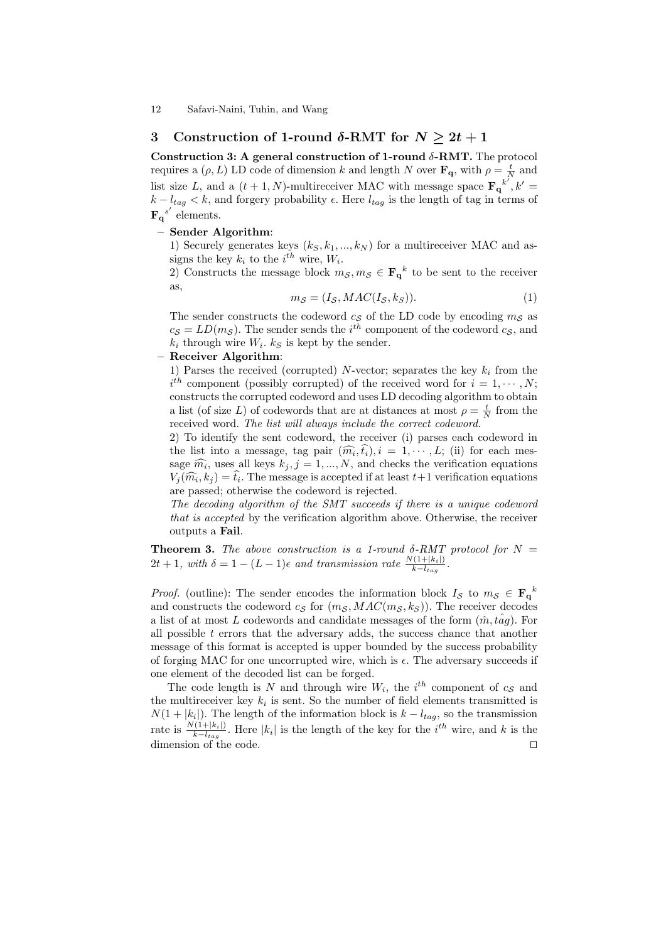## 3 Construction of 1-round  $\delta$ -RMT for  $N \geq 2t + 1$

Construction 3: A general construction of 1-round  $\delta$ -RMT. The protocol requires a  $(\rho, L)$  LD code of dimension k and length N over  $\mathbf{F}_{q}$ , with  $\rho = \frac{t}{N}$  and list size L, and a  $(t + 1, N)$ -multireceiver MAC with message space  $\mathbf{F_q}^{k'}$ ,  $k' =$  $k - l_{tag} < k$ , and forgery probability  $\epsilon$ . Here  $l_{tag}$  is the length of tag in terms of  $\mathbf{F}_{\mathbf{q}}^{s'}$  elements.

#### – Sender Algorithm:

1) Securely generates keys  $(k_S, k_1, ..., k_N)$  for a multireceiver MAC and assigns the key  $k_i$  to the  $i^{th}$  wire,  $W_i$ .

2) Constructs the message block  $m_S, m_S \in \mathbf{F_q}^k$  to be sent to the receiver as,

$$
m_{\mathcal{S}} = (I_{\mathcal{S}}, MAC(I_{\mathcal{S}}, k_{\mathcal{S}})).
$$
\n<sup>(1)</sup>

The sender constructs the codeword  $c_s$  of the LD code by encoding  $m_s$  as  $c_{\mathcal{S}} = LD(m_{\mathcal{S}})$ . The sender sends the  $i^{th}$  component of the codeword  $c_{\mathcal{S}}$ , and  $k_i$  through wire  $W_i$ .  $k_S$  is kept by the sender.

#### – Receiver Algorithm:

1) Parses the received (corrupted) N-vector; separates the key  $k_i$  from the  $i^{th}$  component (possibly corrupted) of the received word for  $i = 1, \dots, N;$ constructs the corrupted codeword and uses LD decoding algorithm to obtain a list (of size L) of codewords that are at distances at most  $\rho = \frac{t}{N}$  from the received word. The list will always include the correct codeword.

2) To identify the sent codeword, the receiver (i) parses each codeword in the list into a message, tag pair  $(\widehat{m_i}, t_i), i = 1, \cdots, L$ ; (ii) for each mes-<br>same  $\widehat{m_i}$ , uses all lows  $k_i$ ,  $i = 1$ , and chocks the verification equations sage  $\widehat{m_i}$ , uses all keys  $k_j$ ,  $j = 1, ..., N$ , and checks the verification equations  $V_i(\widehat{m_i}, k_i) - \widehat{t_i}$ . The message is accorded if at least  $t+1$  verification equations  $V_j(\widehat{m_i}, k_j) = \widehat{t_i}$ . The message is accepted if at least  $t+1$  verification equations are passed; otherwise the codeword is rejected.

The decoding algorithm of the SMT succeeds if there is a unique codeword that is accepted by the verification algorithm above. Otherwise, the receiver outputs a Fail.

**Theorem 3.** The above construction is a 1-round  $\delta$ -RMT protocol for  $N =$  $2t + 1$ , with  $\delta = 1 - (L - 1)\epsilon$  and transmission rate  $\frac{N(1+|k_i|)}{k-l_{tag}}$ .

*Proof.* (outline): The sender encodes the information block  $I_{\mathcal{S}}$  to  $m_{\mathcal{S}} \in \mathbf{F_q}^k$ and constructs the codeword  $c_S$  for  $(m_S, MAC(m_S, k_S))$ . The receiver decodes a list of at most L codewords and candidate messages of the form  $(\hat{m},t\hat{a}q)$ . For all possible  $t$  errors that the adversary adds, the success chance that another message of this format is accepted is upper bounded by the success probability of forging MAC for one uncorrupted wire, which is  $\epsilon$ . The adversary succeeds if one element of the decoded list can be forged.

The code length is N and through wire  $W_i$ , the  $i^{th}$  component of  $c_{\mathcal{S}}$  and the multireceiver key  $k_i$  is sent. So the number of field elements transmitted is  $N(1+|k_i|)$ . The length of the information block is  $k-l_{tag}$ , so the transmission rate is  $\frac{N(1+|k_i|)}{k-l_{tag}}$ . Here  $|k_i|$  is the length of the key for the  $i^{th}$  wire, and k is the dimension of the code.  $\Box$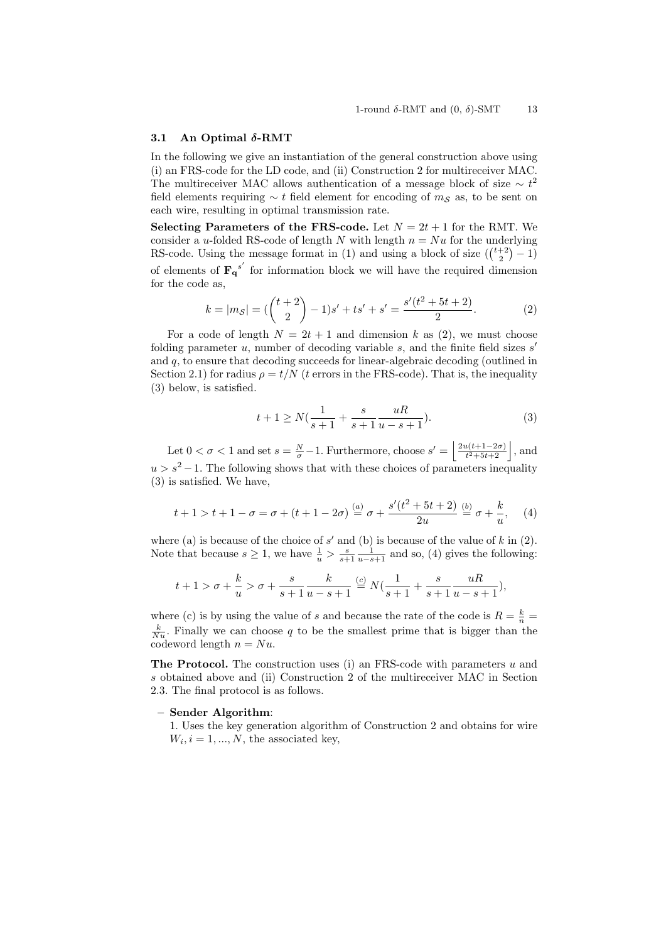#### 3.1 An Optimal δ-RMT

In the following we give an instantiation of the general construction above using (i) an FRS-code for the LD code, and (ii) Construction 2 for multireceiver MAC. The multireceiver MAC allows authentication of a message block of size  $\sim t^2$ field elements requiring  $\sim t$  field element for encoding of m<sub>S</sub> as, to be sent on each wire, resulting in optimal transmission rate.

Selecting Parameters of the FRS-code. Let  $N = 2t + 1$  for the RMT. We consider a u-folded RS-code of length N with length  $n = Nu$  for the underlying RS-code. Using the message format in (1) and using a block of size  $(\binom{t+2}{2} - 1)$ of elements of  $\mathbf{F_q}^{s'}$  for information block we will have the required dimension for the code as,

$$
k = |m_{\mathcal{S}}| = \left(\binom{t+2}{2} - 1\right)s' + ts' + s' = \frac{s'(t^2 + 5t + 2)}{2}.
$$
 (2)

For a code of length  $N = 2t + 1$  and dimension k as (2), we must choose folding parameter  $u$ , number of decoding variable  $s$ , and the finite field sizes  $s'$ and q, to ensure that decoding succeeds for linear-algebraic decoding (outlined in Section 2.1) for radius  $\rho = t/N$  (t errors in the FRS-code). That is, the inequality (3) below, is satisfied.

$$
t + 1 \ge N\left(\frac{1}{s+1} + \frac{s}{s+1}\frac{uR}{u-s+1}\right).
$$
 (3)

Let  $0 < \sigma < 1$  and set  $s = \frac{N}{\sigma} - 1$ . Furthermore, choose  $s' = \left| \frac{2u(t+1-2\sigma)}{t^2+5t+2} \right|$  $\frac{u(t+1-2\sigma)}{t^2+5t+2}$ , and  $u > s<sup>2</sup> - 1$ . The following shows that with these choices of parameters inequality (3) is satisfied. We have,

$$
t + 1 > t + 1 - \sigma = \sigma + (t + 1 - 2\sigma) \stackrel{(a)}{=} \sigma + \frac{s'(t^2 + 5t + 2)}{2u} \stackrel{(b)}{=} \sigma + \frac{k}{u}, \quad (4)
$$

where (a) is because of the choice of  $s'$  and (b) is because of the value of k in (2). Note that because  $s \geq 1$ , we have  $\frac{1}{u} > \frac{s}{s+1} \frac{1}{u-s+1}$  and so, (4) gives the following:

$$
t+1>\sigma+\frac{k}{u}>\sigma+\frac{s}{s+1}\frac{k}{u-s+1}\overset{(c)}{=}N(\frac{1}{s+1}+\frac{s}{s+1}\frac{uR}{u-s+1}),
$$

where (c) is by using the value of s and because the rate of the code is  $R = \frac{k}{n}$  $\frac{k}{Nu}$ . Finally we can choose q to be the smallest prime that is bigger than the codeword length  $n = Nu$ .

**The Protocol.** The construction uses (i) an FRS-code with parameters  $u$  and s obtained above and (ii) Construction 2 of the multireceiver MAC in Section 2.3. The final protocol is as follows.

## – Sender Algorithm:

1. Uses the key generation algorithm of Construction 2 and obtains for wire  $W_i, i = 1, ..., N$ , the associated key,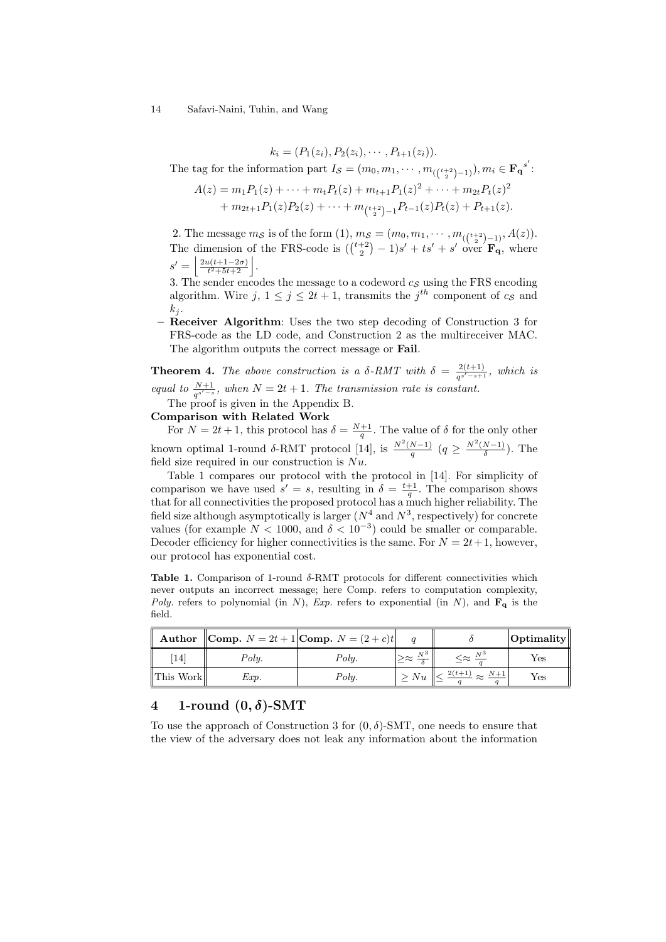$$
k_i = (P_1(z_i), P_2(z_i), \cdots, P_{t+1}(z_i)).
$$

The tag for the information part  $I_{\mathcal{S}} = (m_0, m_1, \cdots, m_{(\binom{t+2}{2}-1)}, m_i \in \mathbf{F_q}^{s'}$ :

$$
A(z) = m_1 P_1(z) + \dots + m_t P_t(z) + m_{t+1} P_1(z)^2 + \dots + m_{2t} P_t(z)^2
$$
  
+ 
$$
m_{2t+1} P_1(z) P_2(z) + \dots + m_{\binom{t+2}{2}-1} P_{t-1}(z) P_t(z) + P_{t+1}(z).
$$

2. The message  $m_S$  is of the form  $(1), m_S = (m_0, m_1, \dots, m_{(\binom{t+2}{2}-1)}, A(z)).$ The dimension of the FRS-code is  $(\binom{t+2}{2} - 1)s' + ts' + s'$  over  $\mathbf{F}_{q}$ , where  $s' = \left\lfloor \frac{2u(t+1-2\sigma)}{t^2+5t+2} \right\rfloor$  $\frac{u(t+1-2\sigma)}{t^2+5t+2}$ .

3. The sender encodes the message to a codeword  $c_{\mathcal{S}}$  using the FRS encoding algorithm. Wire  $j, 1 \leq j \leq 2t + 1$ , transmits the  $j<sup>th</sup>$  component of  $c_{\mathcal{S}}$  and  $k_i$ .

– Receiver Algorithm: Uses the two step decoding of Construction 3 for FRS-code as the LD code, and Construction 2 as the multireceiver MAC. The algorithm outputs the correct message or Fail.

**Theorem 4.** The above construction is a  $\delta$ -RMT with  $\delta = \frac{2(t+1)}{s^2-s+1}$  $\frac{2(t+1)}{q^{s'-s+1}}$ , which is equal to  $\frac{N+1}{q^{s'-s}}$ , when  $N = 2t + 1$ . The transmission rate is constant.

The proof is given in the Appendix B.

#### Comparison with Related Work

For  $N = 2t + 1$ , this protocol has  $\delta = \frac{N+1}{q}$ . The value of  $\delta$  for the only other known optimal 1-round  $\delta$ -RMT protocol [14], is  $\frac{N^2(N-1)}{q}$  $\frac{N-1}{q}$   $\left(q \geq \frac{N^2(N-1)}{\delta}\right)$  $\frac{N-1}{\delta}$ ). The field size required in our construction is  $Nu$ .

Table 1 compares our protocol with the protocol in [14]. For simplicity of comparison we have used  $s' = s$ , resulting in  $\delta = \frac{t+1}{q}$ . The comparison shows that for all connectivities the proposed protocol has a much higher reliability. The field size although asymptotically is larger  $(N^4 \text{ and } N^3)$ , respectively) for concrete values (for example  $N < 1000$ , and  $\delta < 10^{-3}$ ) could be smaller or comparable. Decoder efficiency for higher connectivities is the same. For  $N = 2t+1$ , however, our protocol has exponential cost.

Table 1. Comparison of 1-round  $\delta$ -RMT protocols for different connectivities which never outputs an incorrect message; here Comp. refers to computation complexity, Poly. refers to polynomial (in N), Exp. refers to exponential (in N), and  $\mathbf{F}_{q}$  is the field.

|                     |       | <b>Author</b> Comp. $N = 2t + 1$ Comp. $N = (2 + c)t$ |                 |                                          | Optimality |
|---------------------|-------|-------------------------------------------------------|-----------------|------------------------------------------|------------|
| 14                  | Poly. | Poly.                                                 | $\frac{N^3}{2}$ | $\ll \approx \frac{N}{2}$                | Yes        |
| $\ $ This Work $\ $ | Exv.  | Poly.                                                 | > Nu            | $\frac{2(t+1)}{2} \approx \frac{N+1}{2}$ | Yes        |

## 4 1-round  $(0, \delta)$ -SMT

To use the approach of Construction 3 for  $(0, \delta)$ -SMT, one needs to ensure that the view of the adversary does not leak any information about the information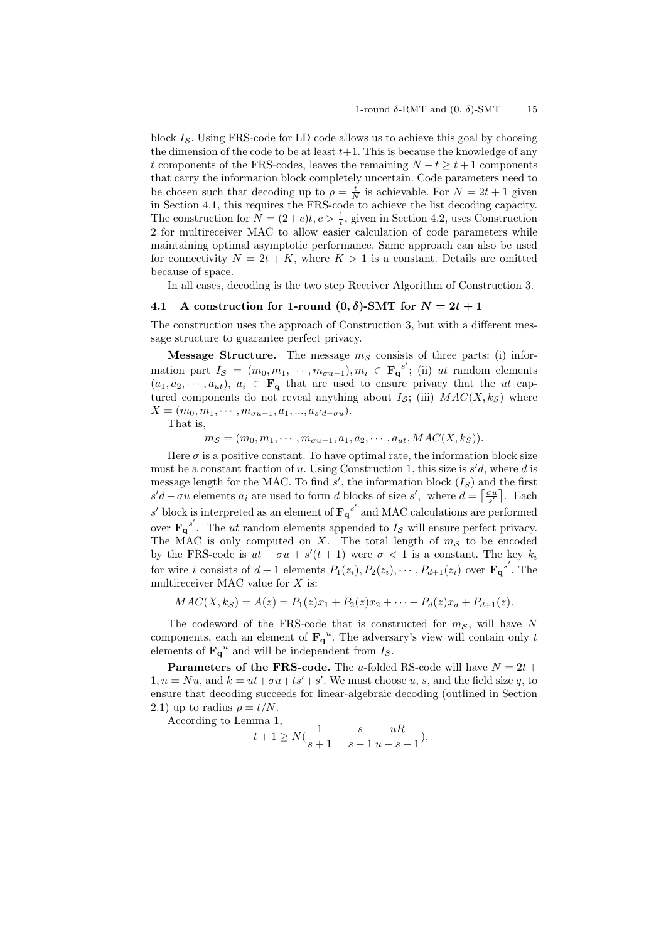block  $I_{\mathcal{S}}$ . Using FRS-code for LD code allows us to achieve this goal by choosing the dimension of the code to be at least  $t+1$ . This is because the knowledge of any t components of the FRS-codes, leaves the remaining  $N - t \geq t + 1$  components that carry the information block completely uncertain. Code parameters need to be chosen such that decoding up to  $\rho = \frac{t}{N}$  is achievable. For  $N = 2t + 1$  given in Section 4.1, this requires the FRS-code to achieve the list decoding capacity. The construction for  $N = (2+c)t, c > \frac{1}{t}$ , given in Section 4.2, uses Construction 2 for multireceiver MAC to allow easier calculation of code parameters while maintaining optimal asymptotic performance. Same approach can also be used for connectivity  $N = 2t + K$ , where  $K > 1$  is a constant. Details are omitted because of space.

In all cases, decoding is the two step Receiver Algorithm of Construction 3.

## 4.1 A construction for 1-round  $(0, \delta)$ -SMT for  $N = 2t + 1$

The construction uses the approach of Construction 3, but with a different message structure to guarantee perfect privacy.

**Message Structure.** The message  $m<sub>S</sub>$  consists of three parts: (i) information part  $I_{\mathcal{S}} = (m_0, m_1, \cdots, m_{\sigma u-1}), m_i \in \mathbf{F_q}^{s'}$ ; (ii) ut random elements  $(a_1, a_2, \dots, a_{ut}), a_i \in \mathbf{F}_q$  that are used to ensure privacy that the ut captured components do not reveal anything about  $I_{\mathcal{S}}$ ; (iii)  $MAC(X, k_S)$  where  $X = (m_0, m_1, \cdots, m_{\sigma u-1}, a_1, ..., a_{s'd-\sigma u}).$ 

That is,

 $m_{\mathcal{S}} = (m_0, m_1, \cdots, m_{\sigma u-1}, a_1, a_2, \cdots, a_{ut}, MAC(X, k_S)).$ 

Here  $\sigma$  is a positive constant. To have optimal rate, the information block size must be a constant fraction of u. Using Construction 1, this size is  $s'd$ , where d is message length for the MAC. To find  $s'$ , the information block  $(I<sub>S</sub>)$  and the first  $s'd-\sigma u$  elements  $a_i$  are used to form d blocks of size  $s'$ , where  $d = \lceil \frac{\sigma u}{s'} \rceil$ . Each s' block is interpreted as an element of  $\mathbf{F}_{q}^{s'}$  and MAC calculations are performed over  $\mathbf{F_q}^{s'}$ . The ut random elements appended to  $I_{\mathcal{S}}$  will ensure perfect privacy. The MAC is only computed on X. The total length of  $m<sub>S</sub>$  to be encoded by the FRS-code is  $ut + \sigma u + s'(t + 1)$  were  $\sigma < 1$  is a constant. The key  $k_i$ for wire i consists of  $d+1$  elements  $P_1(z_i), P_2(z_i), \cdots, P_{d+1}(z_i)$  over  $\mathbf{F_q}^{s'}$ . The multireceiver MAC value for  $X$  is:

 $MAC(X, k_S) = A(z) = P_1(z)x_1 + P_2(z)x_2 + \cdots + P_d(z)x_d + P_{d+1}(z).$ 

The codeword of the FRS-code that is constructed for  $m<sub>S</sub>$ , will have N components, each an element of  $\mathbf{F}_{q}$ <sup>u</sup>. The adversary's view will contain only t elements of  $\mathbf{F}_{q}^{u}$  and will be independent from  $I_{S}$ .

**Parameters of the FRS-code.** The u-folded RS-code will have  $N = 2t + 1$  $1, n = Nu$ , and  $k = ut + \sigma u + ts' + s'$ . We must choose u, s, and the field size q, to ensure that decoding succeeds for linear-algebraic decoding (outlined in Section 2.1) up to radius  $\rho = t/N$ .

According to Lemma 1,

 $t + 1 \geq N(\frac{1}{\cdot})$  $\frac{1}{s+1} + \frac{s}{s+1}$  $s+1$ uR  $\frac{u}{u-s+1}$ ).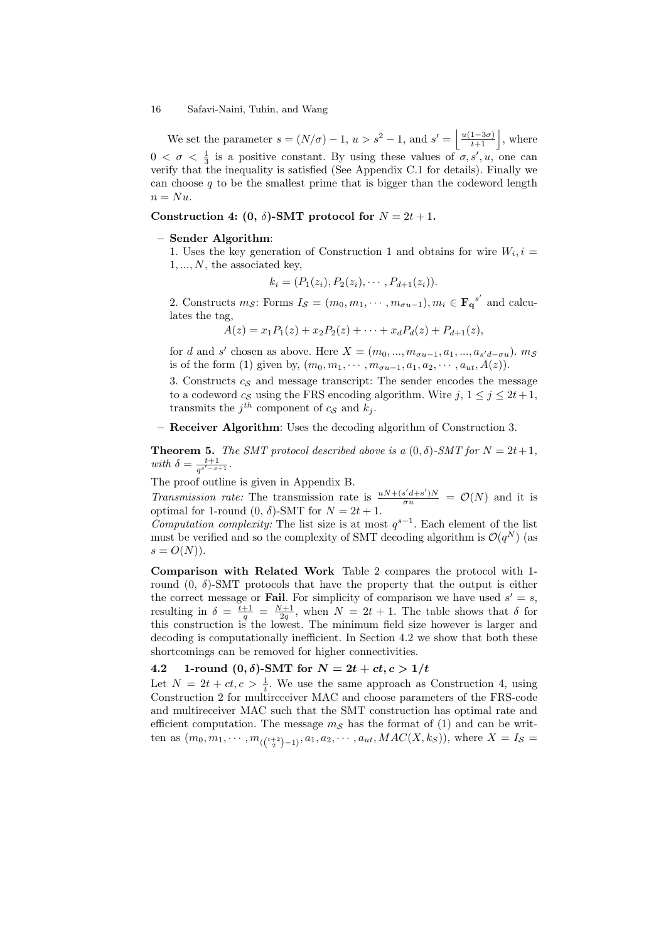We set the parameter  $s = (N/\sigma) - 1$ ,  $u > s^2 - 1$ , and  $s' = \left\lfloor \frac{u(1-3\sigma)}{t+1} \right\rfloor$ , where  $0 < \sigma < \frac{1}{3}$  is a positive constant. By using these values of  $\sigma, s', u$ , one can verify that the inequality is satisfied (See Appendix C.1 for details). Finally we can choose  $q$  to be the smallest prime that is bigger than the codeword length  $n = Nu$ .

Construction 4: (0,  $\delta$ )-SMT protocol for  $N = 2t + 1$ .

### – Sender Algorithm:

1. Uses the key generation of Construction 1 and obtains for wire  $W_i, i =$  $1, ..., N$ , the associated key,

$$
k_i = (P_1(z_i), P_2(z_i), \cdots, P_{d+1}(z_i)).
$$

2. Constructs  $m_S$ : Forms  $I_S = (m_0, m_1, \cdots, m_{\sigma u-1}), m_i \in \mathbf{F_q}^{s'}$  and calculates the tag,

$$
A(z) = x_1 P_1(z) + x_2 P_2(z) + \cdots + x_d P_d(z) + P_{d+1}(z),
$$

for d and s' chosen as above. Here  $X = (m_0, ..., m_{\sigma u-1}, a_1, ..., a_{s'd-\sigma u})$ . is of the form (1) given by,  $(m_0, m_1, \dots, m_{\sigma u-1}, a_1, a_2, \dots, a_{ut}, A(z)).$ 

3. Constructs  $c_{\mathcal{S}}$  and message transcript: The sender encodes the message to a codeword  $c_{\mathcal{S}}$  using the FRS encoding algorithm. Wire  $j, 1 \leq j \leq 2t+1$ , transmits the  $j^{th}$  component of  $c_{\mathcal{S}}$  and  $k_j$ .

– Receiver Algorithm: Uses the decoding algorithm of Construction 3.

**Theorem 5.** The SMT protocol described above is a  $(0, \delta)$ -SMT for  $N = 2t + 1$ , with  $\delta = \frac{t+1}{s'-s}$  $\frac{t+1}{q^{s'-s+1}}$  .

The proof outline is given in Appendix B.

Transmission rate: The transmission rate is  $\frac{uN + (s'd+s')N}{\sigma u} = \mathcal{O}(N)$  and it is optimal for 1-round  $(0, \delta)$ -SMT for  $N = 2t + 1$ .

Computation complexity: The list size is at most  $q^{s-1}$ . Each element of the list must be verified and so the complexity of SMT decoding algorithm is  $\mathcal{O}(q^N)$  (as  $s = O(N)$ ).

Comparison with Related Work Table 2 compares the protocol with 1 round  $(0, \delta)$ -SMT protocols that have the property that the output is either the correct message or **Fail**. For simplicity of comparison we have used  $s' = s$ , resulting in  $\delta = \frac{t+1}{q} = \frac{N+1}{2q}$ , when  $N = 2t + 1$ . The table shows that  $\delta$  for this construction is the lowest. The minimum field size however is larger and decoding is computationally inefficient. In Section 4.2 we show that both these shortcomings can be removed for higher connectivities.

## 4.2 1-round  $(0, \delta)$ -SMT for  $N = 2t + ct, c > 1/t$

Let  $N = 2t + ct, c > \frac{1}{t}$ . We use the same approach as Construction 4, using Construction 2 for multireceiver MAC and choose parameters of the FRS-code and multireceiver MAC such that the SMT construction has optimal rate and efficient computation. The message  $m<sub>S</sub>$  has the format of (1) and can be written as  $(m_0, m_1, \dots, m_{(\binom{t+2}{2}-1)}, a_1, a_2, \dots, a_{ut}, MAC(X, k_S)),$  where  $X = I_S =$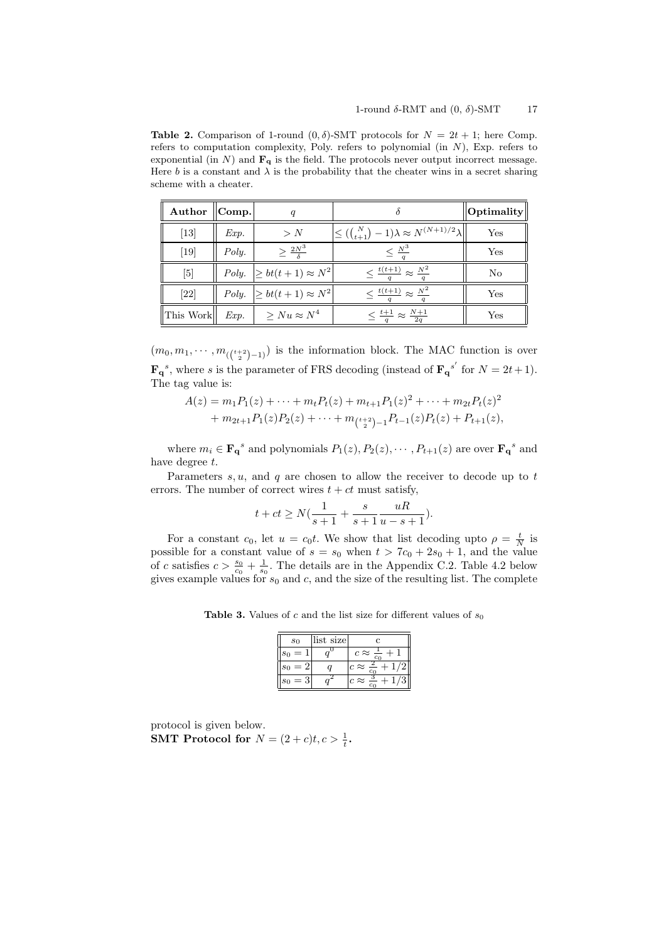**Table 2.** Comparison of 1-round  $(0, \delta)$ -SMT protocols for  $N = 2t + 1$ ; here Comp. refers to computation complexity, Poly. refers to polynomial (in  $N$ ), Exp. refers to exponential (in N) and  $\mathbf{F}_{q}$  is the field. The protocols never output incorrect message. Here b is a constant and  $\lambda$  is the probability that the cheater wins in a secret sharing scheme with a cheater.

| Author                       | Comp. | $\boldsymbol{q}$                                |                                                               | $ $ Optimality $\parallel$ |
|------------------------------|-------|-------------------------------------------------|---------------------------------------------------------------|----------------------------|
| $[13]$                       | Exp.  | > N                                             | $\leq (\binom{N}{t+1} - 1)\lambda \approx N^{(N+1)/2}\lambda$ | $_{\rm Yes}$               |
| $\left\lceil 19\right\rceil$ | Poly. | $\geq \frac{2N^3}{\delta}$                      | $\langle \frac{N^3}{2}$                                       | Yes                        |
| $[5]$                        |       | Poly. $\left  \geq bt(t+1) \approx N^2 \right $ | $\langle \frac{t(t+1)}{2} \approx \frac{N^2}{2}$              | No                         |
| [22]                         |       | Poly. $\left  \geq bt(t+1) \approx N^2 \right $ | $\langle \frac{t(t+1)}{2} \approx \frac{N^2}{2} \rangle$      | Yes                        |
| $\ $ This Work $\ $          | Exp.  | $> Nu \approx N^4$                              | $\leq \frac{t+1}{q} \approx \frac{N+1}{2q}$                   | $_{\rm Yes}$               |

 $(m_0, m_1, \dots, m_{\binom{\binom{t+2}{2}-1}})$  is the information block. The MAC function is over  $\mathbf{F}_{q}^{s}$ , where s is the parameter of FRS decoding (instead of  $\mathbf{F}_{q}^{s'}$  for  $N = 2t + 1$ ). The tag value is:

$$
A(z) = m_1 P_1(z) + \dots + m_t P_t(z) + m_{t+1} P_1(z)^2 + \dots + m_{2t} P_t(z)^2
$$
  
+ 
$$
m_{2t+1} P_1(z) P_2(z) + \dots + m_{\binom{t+2}{2}-1} P_{t-1}(z) P_t(z) + P_{t+1}(z),
$$

where  $m_i \in \mathbf{F_q}^s$  and polynomials  $P_1(z), P_2(z), \cdots, P_{t+1}(z)$  are over  $\mathbf{F_q}^s$  and have degree t.

Parameters  $s, u$ , and  $q$  are chosen to allow the receiver to decode up to  $t$ errors. The number of correct wires  $t + ct$  must satisfy,

$$
t + ct \ge N\left(\frac{1}{s+1} + \frac{s}{s+1} \frac{uR}{u-s+1}\right).
$$

For a constant  $c_0$ , let  $u = c_0 t$ . We show that list decoding upto  $\rho = \frac{t}{N}$  is possible for a constant value of  $s = s_0$  when  $t > 7c_0 + 2s_0 + 1$ , and the value of c satisfies  $c > \frac{s_0}{c_0} + \frac{1}{s_0}$ . The details are in the Appendix C.2. Table 4.2 below gives example values for  $s_0$  and c, and the size of the resulting list. The complete

Table 3. Values of c and the list size for different values of  $s_0$ 

| $s_0$ | list size | c           |
|-------|-----------|-------------|
|       |           | $c \approx$ |
|       |           | с           |
|       |           | с           |

protocol is given below. **SMT Protocol for**  $N = (2+c)t, c > \frac{1}{t}$ .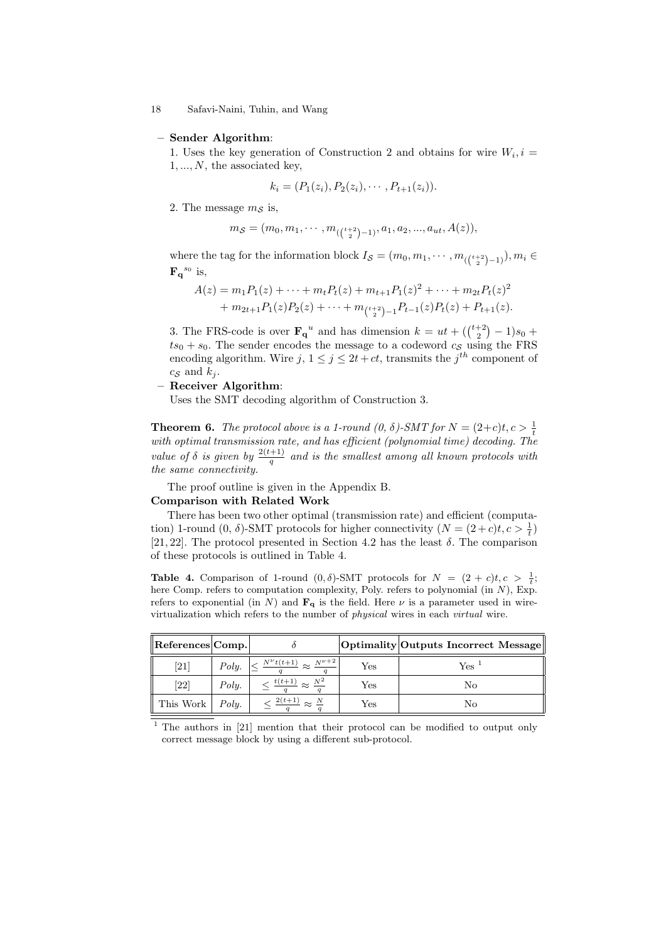#### – Sender Algorithm:

1. Uses the key generation of Construction 2 and obtains for wire  $W_i, i =$  $1, ..., N$ , the associated key,

$$
k_i = (P_1(z_i), P_2(z_i), \cdots, P_{t+1}(z_i)).
$$

2. The message  $m<sub>S</sub>$  is,

$$
m_{\mathcal{S}} = (m_0, m_1, \cdots, m_{(\binom{t+2}{2}-1)}, a_1, a_2, \ldots, a_{ut}, A(z)),
$$

where the tag for the information block  $I_{\mathcal{S}} = (m_0, m_1, \cdots, m_{(\binom{t+2}{2}-1)}, m_i \in$  $\mathbf{F}_{\mathbf{q}}^{s_0}$  is,

$$
A(z) = m_1 P_1(z) + \dots + m_t P_t(z) + m_{t+1} P_1(z)^2 + \dots + m_{2t} P_t(z)^2
$$
  
+ 
$$
m_{2t+1} P_1(z) P_2(z) + \dots + m_{\binom{t+2}{2}-1} P_{t-1}(z) P_t(z) + P_{t+1}(z).
$$

3. The FRS-code is over  $\mathbf{F}_{q}^{u}$  and has dimension  $k = ut + (\binom{t+2}{2} - 1)s_0 +$  $ts_0 + s_0$ . The sender encodes the message to a codeword  $c_{\mathcal{S}}$  using the FRS encoding algorithm. Wire  $j, 1 \leq j \leq 2t + ct$ , transmits the  $j^{th}$  component of  $c_{\mathcal{S}}$  and  $k_i$ .

#### – Receiver Algorithm:

Uses the SMT decoding algorithm of Construction 3.

**Theorem 6.** The protocol above is a 1-round  $(0, \delta)$ -SMT for  $N = (2+c)t, c > \frac{1}{t}$ with optimal transmission rate, and has efficient (polynomial time) decoding. The value of  $\delta$  is given by  $\frac{2(t+1)}{q}$  and is the smallest among all known protocols with the same connectivity.

The proof outline is given in the Appendix B.

## Comparison with Related Work

There has been two other optimal (transmission rate) and efficient (computation) 1-round (0,  $\delta$ )-SMT protocols for higher connectivity  $(N = (2+c)t, c > \frac{1}{t})$ [21, 22]. The protocol presented in Section 4.2 has the least  $\delta$ . The comparison of these protocols is outlined in Table 4.

**Table 4.** Comparison of 1-round  $(0, \delta)$ -SMT protocols for  $N = (2 + c)t, c > \frac{1}{t}$ ; here Comp. refers to computation complexity, Poly. refers to polynomial (in  $N$ ), Exp. refers to exponential (in N) and  $\mathbf{F}_{q}$  is the field. Here  $\nu$  is a parameter used in wirevirtualization which refers to the number of physical wires in each virtual wire.

| References Comp. |       |                                                                                         |     | Optimality Outputs Incorrect Message |
|------------------|-------|-----------------------------------------------------------------------------------------|-----|--------------------------------------|
| [21]             |       | Poly. $\left  \langle \frac{N^{\nu} t(t+1)}{\nu} \right  \approx \frac{N^{\nu+2}}{\nu}$ | Yes | $Yes^{-1}$                           |
| [22]             | Poly. | $<\frac{t(t+1)}{s}\approx \frac{N^2}{s}$                                                | Yes | No                                   |
| This Work        | Poly. | $\frac{2(t+1)}{2} \approx \frac{N}{2}$                                                  | Yes | No                                   |

<sup>1</sup> The authors in [21] mention that their protocol can be modified to output only correct message block by using a different sub-protocol.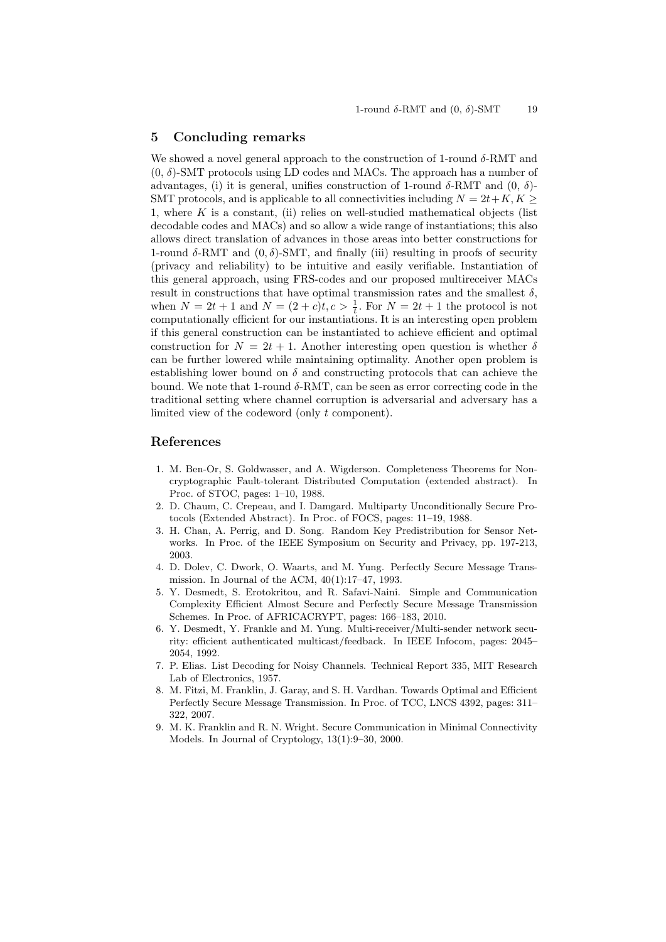## 5 Concluding remarks

We showed a novel general approach to the construction of 1-round  $\delta$ -RMT and  $(0, \delta)$ -SMT protocols using LD codes and MACs. The approach has a number of advantages, (i) it is general, unifies construction of 1-round  $\delta$ -RMT and  $(0, \delta)$ -SMT protocols, and is applicable to all connectivities including  $N = 2t + K, K \geq 1$ 1, where  $K$  is a constant, (ii) relies on well-studied mathematical objects (list decodable codes and MACs) and so allow a wide range of instantiations; this also allows direct translation of advances in those areas into better constructions for 1-round  $\delta$ -RMT and  $(0, \delta)$ -SMT, and finally (iii) resulting in proofs of security (privacy and reliability) to be intuitive and easily verifiable. Instantiation of this general approach, using FRS-codes and our proposed multireceiver MACs result in constructions that have optimal transmission rates and the smallest  $\delta$ , when  $N = 2t + 1$  and  $N = (2 + c)t, c > \frac{1}{t}$ . For  $N = 2t + 1$  the protocol is not computationally efficient for our instantiations. It is an interesting open problem if this general construction can be instantiated to achieve efficient and optimal construction for  $N = 2t + 1$ . Another interesting open question is whether  $\delta$ can be further lowered while maintaining optimality. Another open problem is establishing lower bound on  $\delta$  and constructing protocols that can achieve the bound. We note that 1-round  $δ$ -RMT, can be seen as error correcting code in the traditional setting where channel corruption is adversarial and adversary has a limited view of the codeword (only t component).

#### References

- 1. M. Ben-Or, S. Goldwasser, and A. Wigderson. Completeness Theorems for Noncryptographic Fault-tolerant Distributed Computation (extended abstract). In Proc. of STOC, pages: 1–10, 1988.
- 2. D. Chaum, C. Crepeau, and I. Damgard. Multiparty Unconditionally Secure Protocols (Extended Abstract). In Proc. of FOCS, pages: 11–19, 1988.
- 3. H. Chan, A. Perrig, and D. Song. Random Key Predistribution for Sensor Networks. In Proc. of the IEEE Symposium on Security and Privacy, pp. 197-213, 2003.
- 4. D. Dolev, C. Dwork, O. Waarts, and M. Yung. Perfectly Secure Message Transmission. In Journal of the ACM, 40(1):17–47, 1993.
- 5. Y. Desmedt, S. Erotokritou, and R. Safavi-Naini. Simple and Communication Complexity Efficient Almost Secure and Perfectly Secure Message Transmission Schemes. In Proc. of AFRICACRYPT, pages: 166–183, 2010.
- 6. Y. Desmedt, Y. Frankle and M. Yung. Multi-receiver/Multi-sender network security: efficient authenticated multicast/feedback. In IEEE Infocom, pages: 2045– 2054, 1992.
- 7. P. Elias. List Decoding for Noisy Channels. Technical Report 335, MIT Research Lab of Electronics, 1957.
- 8. M. Fitzi, M. Franklin, J. Garay, and S. H. Vardhan. Towards Optimal and Efficient Perfectly Secure Message Transmission. In Proc. of TCC, LNCS 4392, pages: 311– 322, 2007.
- 9. M. K. Franklin and R. N. Wright. Secure Communication in Minimal Connectivity Models. In Journal of Cryptology, 13(1):9–30, 2000.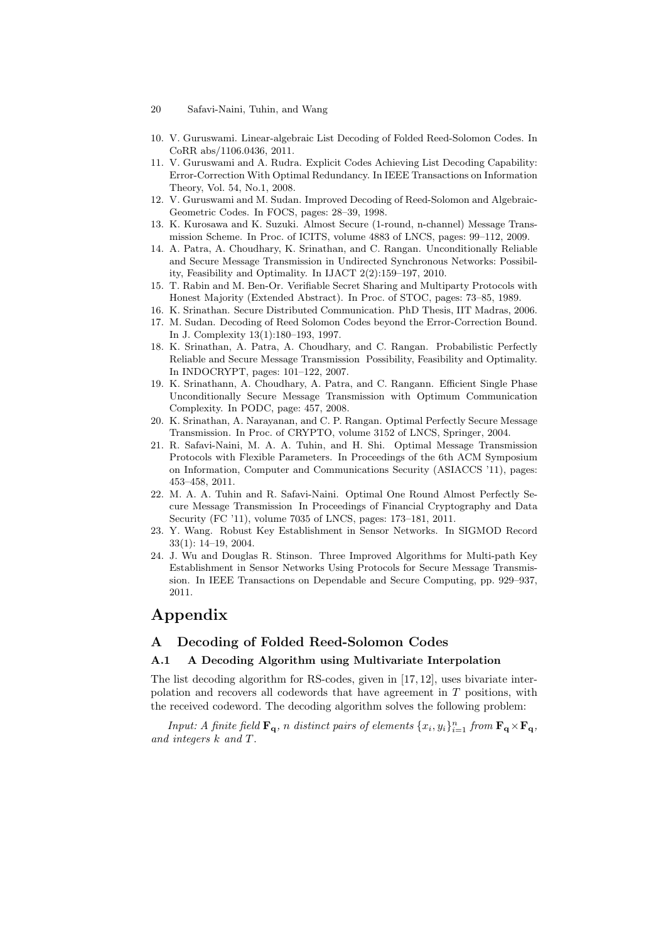- 20 Safavi-Naini, Tuhin, and Wang
- 10. V. Guruswami. Linear-algebraic List Decoding of Folded Reed-Solomon Codes. In CoRR abs/1106.0436, 2011.
- 11. V. Guruswami and A. Rudra. Explicit Codes Achieving List Decoding Capability: Error-Correction With Optimal Redundancy. In IEEE Transactions on Information Theory, Vol. 54, No.1, 2008.
- 12. V. Guruswami and M. Sudan. Improved Decoding of Reed-Solomon and Algebraic-Geometric Codes. In FOCS, pages: 28–39, 1998.
- 13. K. Kurosawa and K. Suzuki. Almost Secure (1-round, n-channel) Message Transmission Scheme. In Proc. of ICITS, volume 4883 of LNCS, pages: 99–112, 2009.
- 14. A. Patra, A. Choudhary, K. Srinathan, and C. Rangan. Unconditionally Reliable and Secure Message Transmission in Undirected Synchronous Networks: Possibility, Feasibility and Optimality. In IJACT 2(2):159–197, 2010.
- 15. T. Rabin and M. Ben-Or. Verifiable Secret Sharing and Multiparty Protocols with Honest Majority (Extended Abstract). In Proc. of STOC, pages: 73–85, 1989.
- 16. K. Srinathan. Secure Distributed Communication. PhD Thesis, IIT Madras, 2006.
- 17. M. Sudan. Decoding of Reed Solomon Codes beyond the Error-Correction Bound. In J. Complexity 13(1):180–193, 1997.
- 18. K. Srinathan, A. Patra, A. Choudhary, and C. Rangan. Probabilistic Perfectly Reliable and Secure Message Transmission Possibility, Feasibility and Optimality. In INDOCRYPT, pages: 101–122, 2007.
- 19. K. Srinathann, A. Choudhary, A. Patra, and C. Rangann. Efficient Single Phase Unconditionally Secure Message Transmission with Optimum Communication Complexity. In PODC, page: 457, 2008.
- 20. K. Srinathan, A. Narayanan, and C. P. Rangan. Optimal Perfectly Secure Message Transmission. In Proc. of CRYPTO, volume 3152 of LNCS, Springer, 2004.
- 21. R. Safavi-Naini, M. A. A. Tuhin, and H. Shi. Optimal Message Transmission Protocols with Flexible Parameters. In Proceedings of the 6th ACM Symposium on Information, Computer and Communications Security (ASIACCS '11), pages: 453–458, 2011.
- 22. M. A. A. Tuhin and R. Safavi-Naini. Optimal One Round Almost Perfectly Secure Message Transmission In Proceedings of Financial Cryptography and Data Security (FC '11), volume 7035 of LNCS, pages: 173–181, 2011.
- 23. Y. Wang. Robust Key Establishment in Sensor Networks. In SIGMOD Record 33(1): 14–19, 2004.
- 24. J. Wu and Douglas R. Stinson. Three Improved Algorithms for Multi-path Key Establishment in Sensor Networks Using Protocols for Secure Message Transmission. In IEEE Transactions on Dependable and Secure Computing, pp. 929–937, 2011.

## Appendix

#### A Decoding of Folded Reed-Solomon Codes

## A.1 A Decoding Algorithm using Multivariate Interpolation

The list decoding algorithm for RS-codes, given in [17, 12], uses bivariate interpolation and recovers all codewords that have agreement in T positions, with the received codeword. The decoding algorithm solves the following problem:

Input: A finite field  $\mathbf{F}_{\mathbf{q}}$ , n distinct pairs of elements  $\{x_i, y_i\}_{i=1}^n$  from  $\mathbf{F}_{\mathbf{q}} \times \mathbf{F}_{\mathbf{q}}$ , and integers k and T.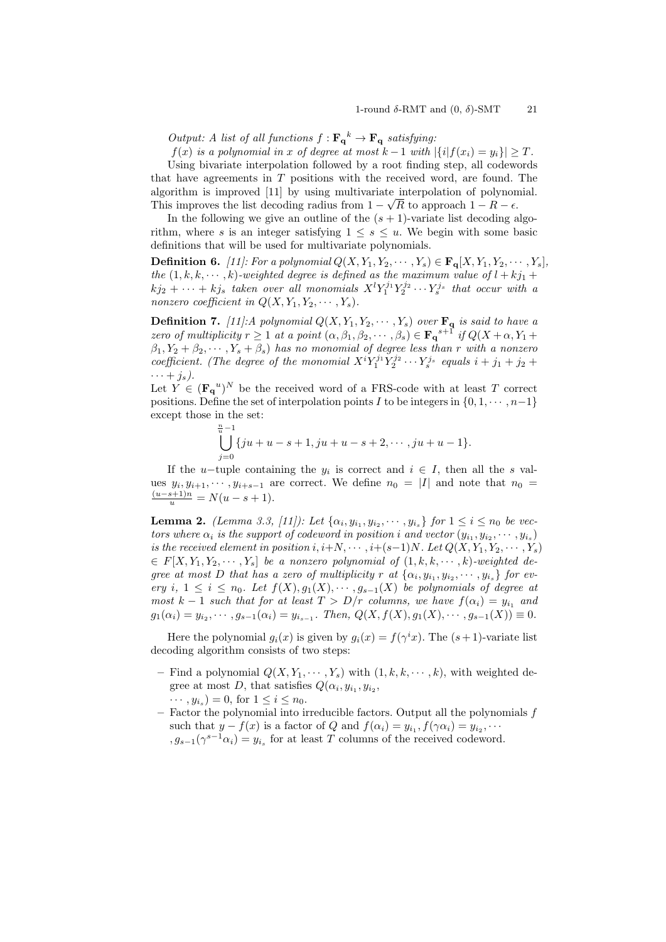Output: A list of all functions  $f: \mathbf{F_q}^k \to \mathbf{F_q}$  satisfying:

 $f(x)$  is a polynomial in x of degree at most  $k-1$  with  $|\{i|f(x_i) = y_i\}| \geq T$ .

Using bivariate interpolation followed by a root finding step, all codewords that have agreements in T positions with the received word, are found. The algorithm is improved [11] by using multivariate interpolation of polynomial. This improves the list decoding radius from  $1 - \sqrt{R}$  to approach  $1 - R - \epsilon$ .

In the following we give an outline of the  $(s + 1)$ -variate list decoding algorithm, where s is an integer satisfying  $1 \leq s \leq u$ . We begin with some basic definitions that will be used for multivariate polynomials.

**Definition 6.** [11]: For a polynomial  $Q(X, Y_1, Y_2, \dots, Y_s) \in \mathbf{F_q}[X, Y_1, Y_2, \dots, Y_s]$ , the  $(1, k, k, \dots, k)$ -weighted degree is defined as the maximum value of  $l + kj_1 +$  $kj_2 + \cdots + kj_s$  taken over all monomials  $X^l Y_1^{j_1} Y_2^{j_2} \cdots Y_s^{j_s}$  that occur with a nonzero coefficient in  $Q(X, Y_1, Y_2, \cdots, Y_s)$ .

**Definition 7.** [11]:A polynomial  $Q(X, Y_1, Y_2, \dots, Y_s)$  over  $\mathbf{F}_q$  is said to have a zero of multiplicity  $r \geq 1$  at a point  $(\alpha, \beta_1, \beta_2, \cdots, \beta_s) \in \mathbf{F_q}^{s+1}$  if  $Q(X + \alpha, Y_1 + \alpha, Y_2 + \cdots + \alpha_s)$  $\beta_1, Y_2 + \beta_2, \cdots, Y_s + \beta_s$  has no monomial of degree less than r with a nonzero coefficient. (The degree of the monomial  $X^i Y_1^{j_1} Y_2^{j_2} \cdots Y_s^{j_s}$  equals  $i + j_1 + j_2 + j_3$  $\cdots + j_s$ ).

Let  $Y \in (\mathbf{F}_{q}^{u})^{N}$  be the received word of a FRS-code with at least T correct positions. Define the set of interpolation points I to be integers in  $\{0, 1, \dots, n-1\}$ except those in the set:

$$
\bigcup_{j=0}^{\frac{n}{u}-1} \{ ju + u - s + 1, ju + u - s + 2, \cdots, ju + u - 1 \}.
$$

If the u-tuple containing the  $y_i$  is correct and  $i \in I$ , then all the s values  $y_i, y_{i+1}, \dots, y_{i+s-1}$  are correct. We define  $n_0 = |I|$  and note that  $n_0 =$  $\frac{(u-s+1)n}{u} = N(u-s+1).$ 

**Lemma 2.** (Lemma 3.3, [11]): Let  $\{\alpha_i, y_{i_1}, y_{i_2}, \dots, y_{i_s}\}$  for  $1 \le i \le n_0$  be vectors where  $\alpha_i$  is the support of codeword in position i and vector  $(y_{i_1}, y_{i_2}, \dots, y_{i_s})$ is the received element in position  $i, i+N, \cdots, i+(s-1)N$ . Let  $Q(X, Y_1, Y_2, \cdots, Y_s)$  $\in F[X, Y_1, Y_2, \cdots, Y_s]$  be a nonzero polynomial of  $(1, k, k, \cdots, k)$ -weighted degree at most D that has a zero of multiplicity r at  $\{\alpha_i, y_{i_1}, y_{i_2}, \cdots, y_{i_s}\}$  for every i,  $1 \leq i \leq n_0$ . Let  $f(X), g_1(X), \cdots, g_{s-1}(X)$  be polynomials of degree at most k – 1 such that for at least  $T > D/r$  columns, we have  $f(\alpha_i) = y_{i_1}$  and  $g_1(\alpha_i) = y_{i_2}, \cdots, g_{s-1}(\alpha_i) = y_{i_{s-1}}$ . Then,  $Q(X, f(X), g_1(X), \cdots, g_{s-1}(X)) \equiv 0$ .

Here the polynomial  $g_i(x)$  is given by  $g_i(x) = f(\gamma^i x)$ . The  $(s+1)$ -variate list decoding algorithm consists of two steps:

- Find a polynomial  $Q(X, Y_1, \dots, Y_s)$  with  $(1, k, k, \dots, k)$ , with weighted degree at most D, that satisfies  $Q(\alpha_i, y_{i_1}, y_{i_2},$  $\cdots$ ,  $y_{i_s}$ ) = 0, for  $1 \leq i \leq n_0$ .
- $-$  Factor the polynomial into irreducible factors. Output all the polynomials  $f$ such that  $y - f(x)$  is a factor of Q and  $f(\alpha_i) = y_{i_1}, f(\gamma \alpha_i) = y_{i_2}, \cdots$  $,g_{s-1}(\gamma^{s-1}\alpha_i)=y_{i_s}$  for at least T columns of the received codeword.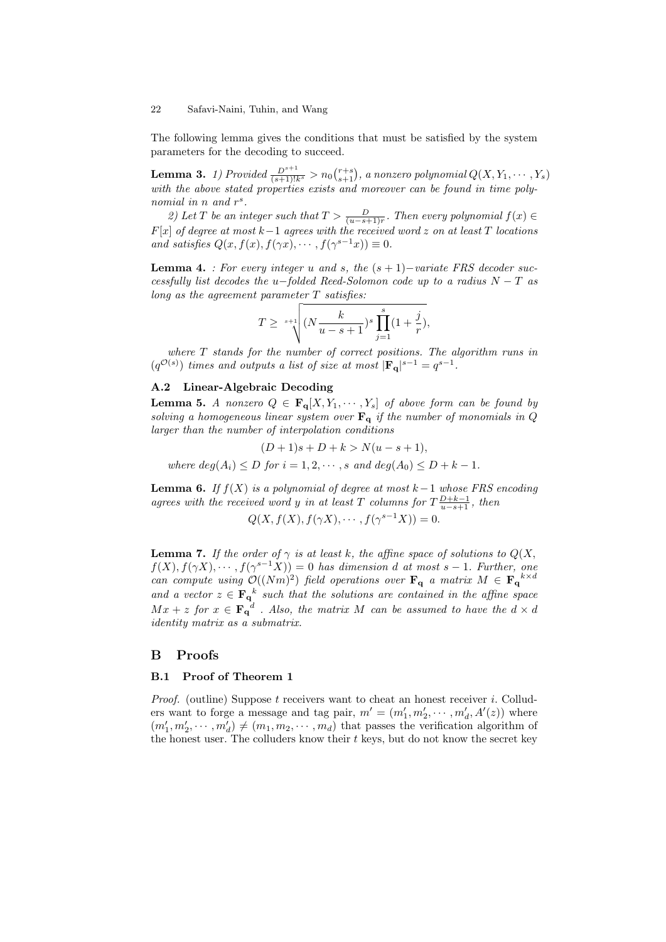The following lemma gives the conditions that must be satisfied by the system parameters for the decoding to succeed.

**Lemma 3.** 1) Provided  $\frac{D^{s+1}}{(s+1)!k^s} > n_0 {r+s \choose s+1}$ , a nonzero polynomial  $Q(X, Y_1, \dots, Y_s)$ with the above stated properties exists and moreover can be found in time polynomial in n and  $r^s$ .

2) Let T be an integer such that  $T > \frac{D}{(u-s+1)r}$ . Then every polynomial  $f(x) \in$  $F[x]$  of degree at most k-1 agrees with the received word z on at least T locations and satisfies  $Q(x, f(x), f(\gamma x), \dots, f(\gamma^{s-1}x)) \equiv 0.$ 

**Lemma 4.** : For every integer u and s, the  $(s + 1)$ -variate FRS decoder successfully list decodes the u-folded Reed-Solomon code up to a radius  $N-T$  as long as the agreement parameter  $T$  satisfies:

$$
T \geq \sqrt[s+1]{(N \frac{k}{u-s+1})^s \prod_{j=1}^s (1+\frac{j}{r})},
$$

where  $T$  stands for the number of correct positions. The algorithm runs in  $(q^{\mathcal{O}(s)})$  times and outputs a list of size at most  $|\mathbf{F}_{q}|^{s-1} = q^{s-1}$ .

## A.2 Linear-Algebraic Decoding

**Lemma 5.** A nonzero  $Q \in \mathbf{F_q}[X, Y_1, \dots, Y_s]$  of above form can be found by solving a homogeneous linear system over  $\mathbf{F}_{q}$  if the number of monomials in Q larger than the number of interpolation conditions

 $(D+1)s + D + k > N(u - s + 1),$ 

where  $deg(A_i) \leq D$  for  $i = 1, 2, \dots, s$  and  $deg(A_0) \leq D + k - 1$ .

**Lemma 6.** If  $f(X)$  is a polynomial of degree at most  $k-1$  whose FRS encoding agrees with the received word y in at least T columns for  $T\frac{D+k-1}{u-s+1}$ , then

$$
Q(X, f(X), f(\gamma X), \cdots, f(\gamma^{s-1}X)) = 0.
$$

**Lemma 7.** If the order of  $\gamma$  is at least k, the affine space of solutions to  $Q(X, \mathbb{R})$  $f(X), f(\gamma X), \cdots, f(\gamma^{s-1} X)$  = 0 has dimension d at most s – 1. Further, one can compute using  $\mathcal{O}((Nm)^2)$  field operations over  $\mathbf{F}_q$  a matrix  $M \in \mathbf{F}_q^{k \times d}$ and a vector  $z \in \mathbf{F_q}^k$  such that the solutions are contained in the affine space  $Mx + z$  for  $x \in \mathbf{F_q}^d$  . Also, the matrix M can be assumed to have the  $d \times d$ identity matrix as a submatrix.

#### B Proofs

#### B.1 Proof of Theorem 1

*Proof.* (outline) Suppose  $t$  receivers want to cheat an honest receiver  $i$ . Colluders want to forge a message and tag pair,  $m' = (m'_1, m'_2, \dots, m'_d, A'(z))$  where  $(m'_1, m'_2, \dots, m'_d) \neq (m_1, m_2, \dots, m_d)$  that passes the verification algorithm of the honest user. The colluders know their  $t$  keys, but do not know the secret key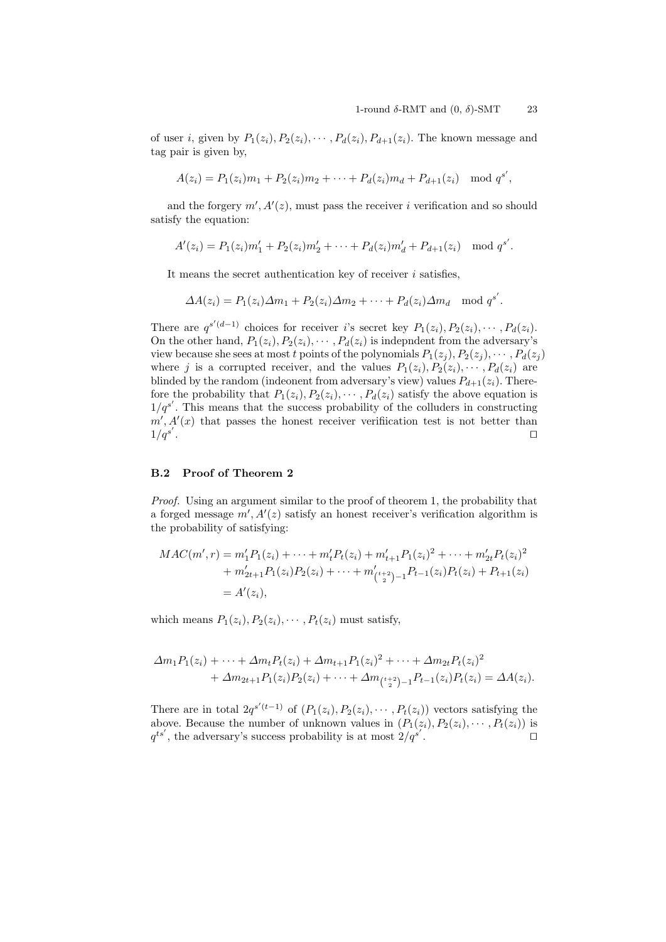of user i, given by  $P_1(z_i), P_2(z_i), \cdots, P_d(z_i), P_{d+1}(z_i)$ . The known message and tag pair is given by,

$$
A(z_i) = P_1(z_i)m_1 + P_2(z_i)m_2 + \cdots + P_d(z_i)m_d + P_{d+1}(z_i) \mod q^{s'},
$$

and the forgery  $m', A'(z)$ , must pass the receiver i verification and so should satisfy the equation:

$$
A'(zi) = P1(zi)m'1 + P2(zi)m'2 + \cdots + Pd(zi)m'd + Pd+1(zi) \mod q^{s'}.
$$

It means the secret authentication key of receiver  $i$  satisfies,

$$
\Delta A(z_i) = P_1(z_i)\Delta m_1 + P_2(z_i)\Delta m_2 + \cdots + P_d(z_i)\Delta m_d \mod q^{s'}.
$$

There are  $q^{s'(d-1)}$  choices for receiver i's secret key  $P_1(z_i), P_2(z_i), \cdots, P_d(z_i)$ . On the other hand,  $P_1(z_i), P_2(z_i), \cdots, P_d(z_i)$  is indepndent from the adversary's view because she sees at most t points of the polynomials  $P_1(z_j), P_2(z_j), \cdots, P_d(z_j)$ where j is a corrupted receiver, and the values  $P_1(z_i), P_2(z_i), \cdots, P_d(z_i)$  are blinded by the random (indeonent from adversary's view) values  $P_{d+1}(z_i)$ . Therefore the probability that  $P_1(z_i), P_2(z_i), \cdots, P_d(z_i)$  satisfy the above equation is  $1/q^{s'}$ . This means that the success probability of the colluders in constructing  $m', A'(x)$  that passes the honest receiver verification test is not better than  $1/q^{s'}$ . The contract of the contract of the contract of the contract  $\Box$ 

#### B.2 Proof of Theorem 2

Proof. Using an argument similar to the proof of theorem 1, the probability that a forged message  $m', A'(z)$  satisfy an honest receiver's verification algorithm is the probability of satisfying:

$$
MAC(m', r) = m'_1 P_1(z_i) + \dots + m'_t P_t(z_i) + m'_{t+1} P_1(z_i)^2 + \dots + m'_{2t} P_t(z_i)^2
$$
  
+ 
$$
m'_{2t+1} P_1(z_i) P_2(z_i) + \dots + m'_{\binom{t+2}{2}-1} P_{t-1}(z_i) P_t(z_i) + P_{t+1}(z_i)
$$
  
= 
$$
A'(z_i),
$$

which means  $P_1(z_i), P_2(z_i), \cdots, P_t(z_i)$  must satisfy,

$$
\Delta m_1 P_1(z_i) + \cdots + \Delta m_t P_t(z_i) + \Delta m_{t+1} P_1(z_i)^2 + \cdots + \Delta m_{2t} P_t(z_i)^2 + \Delta m_{2t+1} P_1(z_i) P_2(z_i) + \cdots + \Delta m_{\binom{t+2}{2}-1} P_{t-1}(z_i) P_t(z_i) = \Delta A(z_i).
$$

There are in total  $2q^{s'(t-1)}$  of  $(P_1(z_i), P_2(z_i), \cdots, P_t(z_i))$  vectors satisfying the above. Because the number of unknown values in  $(P_1(z_i), P_2(z_i), \cdots, P_t(z_i))$  is  $q^{ts'}$ , the adversary's success probability is at most  $2/q^{s'}$ . The contract of  $\Box$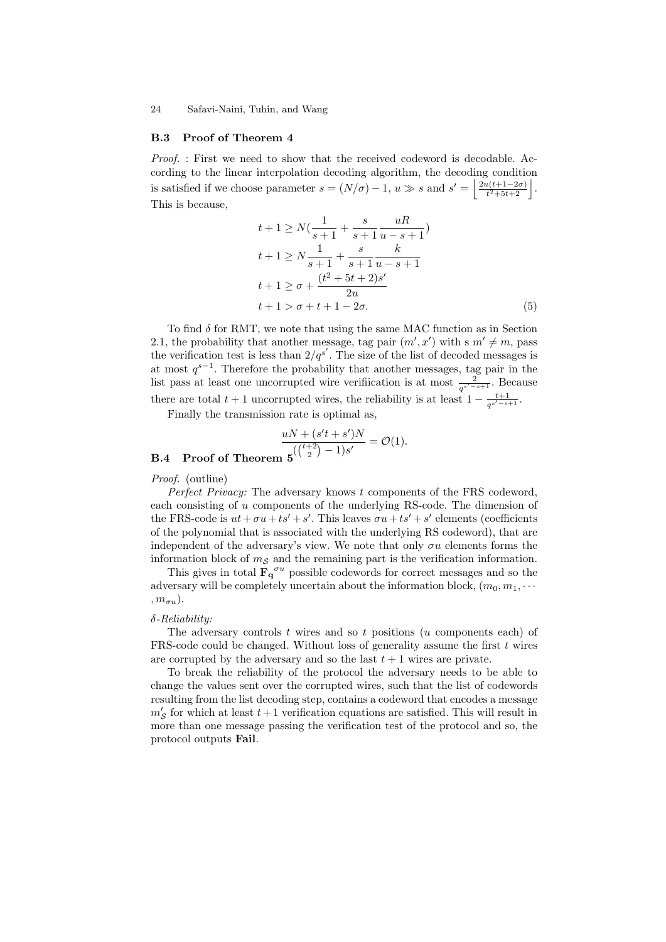#### B.3 Proof of Theorem 4

Proof. : First we need to show that the received codeword is decodable. According to the linear interpolation decoding algorithm, the decoding condition is satisfied if we choose parameter  $s = (N/\sigma) - 1$ ,  $u \gg s$  and  $s' = \left| \frac{2u(t+1-2\sigma)}{t^2+5t+2} \right|$  $\frac{u(t+1-2\sigma)}{t^2+5t+2}$ . This is because,

$$
t + 1 \ge N\left(\frac{1}{s+1} + \frac{s}{s+1}\frac{uR}{u-s+1}\right)
$$
  
\n
$$
t + 1 \ge N\frac{1}{s+1} + \frac{s}{s+1}\frac{k}{u-s+1}
$$
  
\n
$$
t + 1 \ge \sigma + \frac{(t^2 + 5t + 2)s'}{2u}
$$
  
\n
$$
t + 1 > \sigma + t + 1 - 2\sigma.
$$
 (5)

To find  $\delta$  for RMT, we note that using the same MAC function as in Section 2.1, the probability that another message, tag pair  $(m', x')$  with s  $m' \neq m$ , pass the verification test is less than  $2/q^{s'}$ . The size of the list of decoded messages is at most  $q^{s-1}$ . Therefore the probability that another messages, tag pair in the list pass at least one uncorrupted wire verifiication is at most  $\frac{2}{q^{s'-s+1}}$ . Because there are total  $t + 1$  uncorrupted wires, the reliability is at least  $1 - \frac{t+1}{s^2-s}$  $\frac{t+1}{q^{s'-s+1}}$ .

Finally the transmission rate is optimal as,

$$
uN + (s't + s')N
$$
  
B.4 Proof of Theorem 5<sup>((t+2)</sup> - 1)s'  
1

#### Proof. (outline)

Perfect Privacy: The adversary knows t components of the FRS codeword, each consisting of u components of the underlying RS-code. The dimension of the FRS-code is  $ut + \sigma u + ts' + s'$ . This leaves  $\sigma u + ts' + s'$  elements (coefficients of the polynomial that is associated with the underlying RS codeword), that are independent of the adversary's view. We note that only  $\sigma u$  elements forms the information block of  $m<sub>S</sub>$  and the remaining part is the verification information.

This gives in total  $\mathbf{F}_{q}^{\sigma u}$  possible codewords for correct messages and so the adversary will be completely uncertain about the information block,  $(m_0, m_1, \cdots)$  $, m_{\sigma u}).$ 

#### δ-Reliability:

The adversary controls  $t$  wires and so  $t$  positions  $(u$  components each) of FRS-code could be changed. Without loss of generality assume the first t wires are corrupted by the adversary and so the last  $t + 1$  wires are private.

To break the reliability of the protocol the adversary needs to be able to change the values sent over the corrupted wires, such that the list of codewords resulting from the list decoding step, contains a codeword that encodes a message  $m'_{\mathcal{S}}$  for which at least  $t+1$  verification equations are satisfied. This will result in more than one message passing the verification test of the protocol and so, the protocol outputs Fail.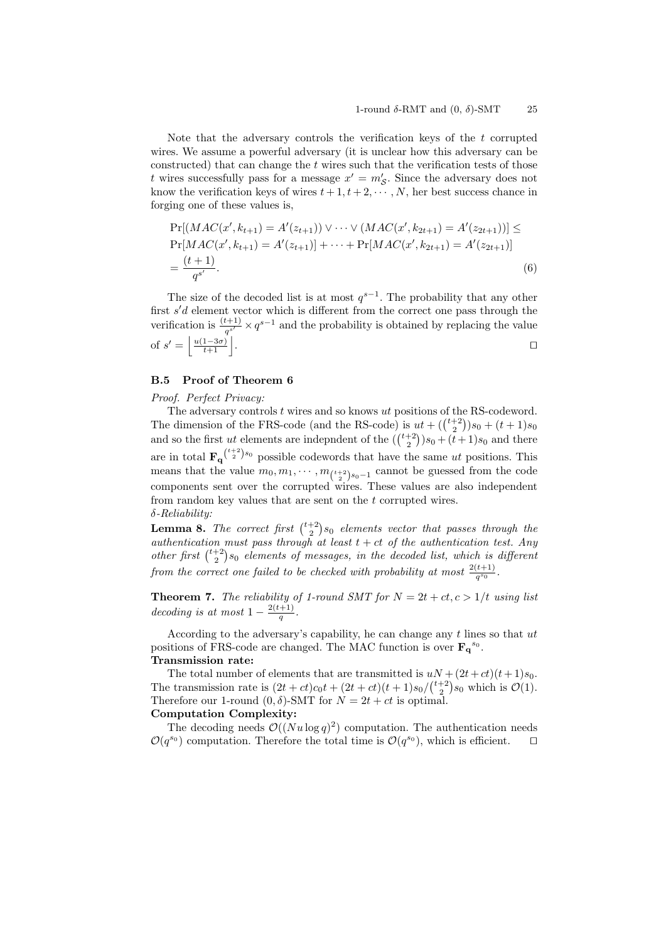Note that the adversary controls the verification keys of the t corrupted wires. We assume a powerful adversary (it is unclear how this adversary can be constructed) that can change the  $t$  wires such that the verification tests of those t wires successfully pass for a message  $x' = m'_s$ . Since the adversary does not know the verification keys of wires  $t + 1, t + 2, \dots, N$ , her best success chance in forging one of these values is,

$$
\Pr[(MAC(x', k_{t+1}) = A'(z_{t+1})) \lor \cdots \lor (MAC(x', k_{2t+1}) = A'(z_{2t+1}))] \le
$$
  
\n
$$
\Pr[MAC(x', k_{t+1}) = A'(z_{t+1})] + \cdots + \Pr[MAC(x', k_{2t+1}) = A'(z_{2t+1})]
$$
  
\n
$$
= \frac{(t+1)}{q^{s'}}.
$$
\n(6)

The size of the decoded list is at most  $q^{s-1}$ . The probability that any other first  $s'd$  element vector which is different from the correct one pass through the verification is  $\frac{(t+1)}{q^{s'}} \times q^{s-1}$  and the probability is obtained by replacing the value of  $s' = \left| \frac{u(1-3\sigma)}{t+1} \right|$ .

#### B.5 Proof of Theorem 6

#### Proof. Perfect Privacy:

The adversary controls t wires and so knows ut positions of the RS-codeword. The dimension of the FRS-code (and the RS-code) is  $ut + (\binom{t+2}{2})s_0 + (t+1)s_0$ and so the first *ut* elements are indepndent of the  $(\binom{t+2}{2})s_0 + (t+1)s_0$  and there are in total  $\mathbf{F}_{q}^{(t+2) s_0}$  possible codewords that have the same ut positions. This means that the value  $m_0, m_1, \cdots, m_{\binom{t+2}{2}s_0-1}$  cannot be guessed from the code components sent over the corrupted wires. These values are also independent from random key values that are sent on the  $t$  corrupted wires. δ-Reliability:

**Lemma 8.** The correct first  $\binom{t+2}{2}s_0$  elements vector that passes through the authentication must pass through at least  $t + ct$  of the authentication test. Any other first  $\binom{t+2}{2}s_0$  elements of messages, in the decoded list, which is different from the correct one failed to be checked with probability at most  $\frac{2(t+1)}{q^{s_0}}$ .

**Theorem 7.** The reliability of 1-round SMT for  $N = 2t + ct, c > 1/t$  using list decoding is at most  $1-\frac{2(t+1)}{a}$  $rac{(+1)}{q}$ .

According to the adversary's capability, he can change any  $t$  lines so that  $ut$ positions of FRS-code are changed. The MAC function is over  $\mathbf{F}_{q}^{s_0}$ . Transmission rate:

The total number of elements that are transmitted is  $uN + (2t+ct)(t+1)s_0$ . The transmission rate is  $(2t + ct)c_0t + (2t + ct)(t + 1)s_0/(t+2)s_0$  which is  $\mathcal{O}(1)$ . Therefore our 1-round  $(0, \delta)$ -SMT for  $N = 2t + ct$  is optimal.

## Computation Complexity:

The decoding needs  $\mathcal{O}((Nu \log q)^2)$  computation. The authentication needs  $\mathcal{O}(q^{s_0})$  computation. Therefore the total time is  $\mathcal{O}(q^{s_0})$ , which is efficient.  $\Box$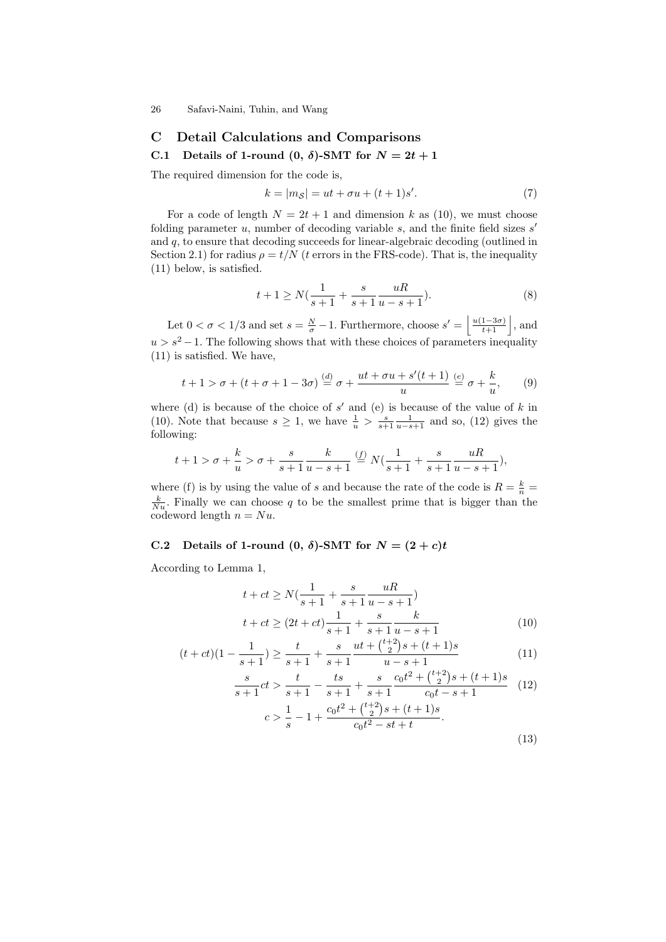## C Detail Calculations and Comparisons

## C.1 Details of 1-round  $(0, \delta)$ -SMT for  $N = 2t + 1$

The required dimension for the code is,

$$
k = |m_{\mathcal{S}}| = ut + \sigma u + (t + 1)s'. \tag{7}
$$

For a code of length  $N = 2t + 1$  and dimension k as (10), we must choose folding parameter  $u$ , number of decoding variable  $s$ , and the finite field sizes  $s'$ and  $q$ , to ensure that decoding succeeds for linear-algebraic decoding (outlined in Section 2.1) for radius  $\rho = t/N$  (t errors in the FRS-code). That is, the inequality (11) below, is satisfied.

$$
t + 1 \ge N\left(\frac{1}{s+1} + \frac{s}{s+1}\frac{uR}{u-s+1}\right).
$$
 (8)

Let  $0 < \sigma < 1/3$  and set  $s = \frac{N}{\sigma} - 1$ . Furthermore, choose  $s' = \left\lfloor \frac{u(1-3\sigma)}{t+1} \right\rfloor$ , and  $u > s<sup>2</sup> - 1$ . The following shows that with these choices of parameters inequality (11) is satisfied. We have,

$$
t+1 > \sigma + (t+\sigma+1-3\sigma) \stackrel{(d)}{=} \sigma + \frac{ut+\sigma u + s'(t+1)}{u} \stackrel{(e)}{=} \sigma + \frac{k}{u},\qquad(9)
$$

where (d) is because of the choice of  $s'$  and (e) is because of the value of k in (10). Note that because  $s \geq 1$ , we have  $\frac{1}{u} > \frac{s}{s+1} \frac{1}{u-s+1}$  and so, (12) gives the following:

$$
t+1>\sigma+\frac{k}{u}>\sigma+\frac{s}{s+1}\frac{k}{u-s+1}\stackrel{(f)}{=}\tN\big(\frac{1}{s+1}+\frac{s}{s+1}\frac{uR}{u-s+1}\big),
$$

where (f) is by using the value of s and because the rate of the code is  $R = \frac{k}{n}$  $\frac{k}{Nu}$ . Finally we can choose q to be the smallest prime that is bigger than the codeword length  $n = Nu$ .

## C.2 Details of 1-round  $(0, \delta)$ -SMT for  $N = (2+c)t$

According to Lemma 1,

$$
t + ct \ge N\left(\frac{1}{s+1} + \frac{s}{s+1} \frac{uR}{u-s+1}\right)
$$
  

$$
t + ct \ge (2t + ct) \frac{1}{s+1} + \frac{s}{s+1} \frac{k}{u-s+1}
$$
 (10)

$$
(t+ct)(1-\frac{1}{s+1}) \ge \frac{t}{s+1} + \frac{s}{s+1} \frac{ut + \binom{t+2}{2}s + (t+1)s}{u-s+1}
$$
(11)

$$
\frac{s}{s+1}ct > \frac{t}{s+1} - \frac{ts}{s+1} + \frac{s}{s+1} \frac{c_0t^2 + {t+2 \choose 2}s + (t+1)s}{c_0t - s + 1} \tag{12}
$$
\n
$$
c > \frac{1}{s} - 1 + \frac{c_0t^2 + {t+2 \choose 2}s + (t+1)s}{c_0t^2 - st + t}.
$$

$$
(13)
$$